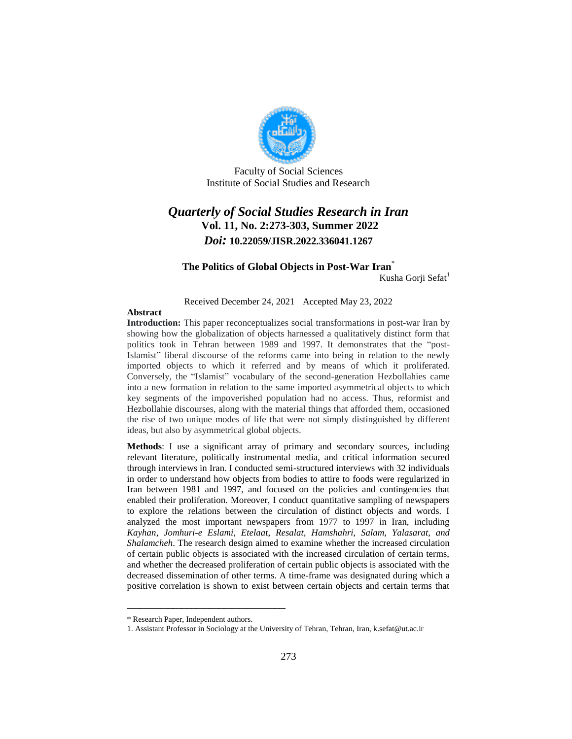

Faculty of Social Sciences Institute of Social Studies and Research

# *Quarterly of Social Studies Research in Iran* **Vol. 11, No. 2:273-303, Summer 2022** *Doi:* **10.22059/JISR.2022.336041.1267**

#### **The Politics of Global Objects in Post-War Iran**\* Kusha Gorji Sefat<sup>1</sup>

Received December 24, 2021 Accepted May 23, 2022

#### **Abstract**

**Introduction:** This paper reconceptualizes social transformations in post-war Iran by showing how the globalization of objects harnessed a qualitatively distinct form that politics took in Tehran between 1989 and 1997. It demonstrates that the "post-Islamist" liberal discourse of the reforms came into being in relation to the newly imported objects to which it referred and by means of which it proliferated. Conversely, the "Islamist" vocabulary of the second-generation Hezbollahies came into a new formation in relation to the same imported asymmetrical objects to which key segments of the impoverished population had no access. Thus, reformist and Hezbollahie discourses, along with the material things that afforded them, occasioned the rise of two unique modes of life that were not simply distinguished by different ideas, but also by asymmetrical global objects.

**Methods**: I use a significant array of primary and secondary sources, including relevant literature, politically instrumental media, and critical information secured through interviews in Iran. I conducted semi-structured interviews with 32 individuals in order to understand how objects from bodies to attire to foods were regularized in Iran between 1981 and 1997, and focused on the policies and contingencies that enabled their proliferation. Moreover, I conduct quantitative sampling of newspapers to explore the relations between the circulation of distinct objects and words. I analyzed the most important newspapers from 1977 to 1997 in Iran, including *Kayhan*, *Jomhuri-e Eslami*, *Etelaat*, *Resalat*, *Hamshahri*, *Salam, Yalasarat, and Shalamcheh*. The research design aimed to examine whether the increased circulation of certain public objects is associated with the increased circulation of certain terms, and whether the decreased proliferation of certain public objects is associated with the decreased dissemination of other terms. A time-frame was designated during which a positive correlation is shown to exist between certain objects and certain terms that

<sup>\*</sup> Research Paper, Independent authors.

<sup>1.</sup> Assistant Professor in Sociology at the University of Tehran, Tehran, Iran, k.sefat@ut.ac.ir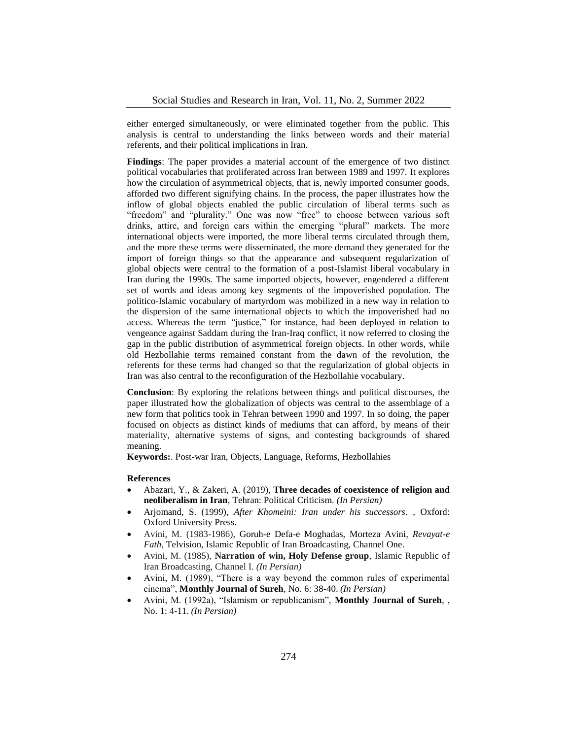either emerged simultaneously, or were eliminated together from the public. This analysis is central to understanding the links between words and their material referents, and their political implications in Iran.

**Findings**: The paper provides a material account of the emergence of two distinct political vocabularies that proliferated across Iran between 1989 and 1997. It explores how the circulation of asymmetrical objects, that is, newly imported consumer goods, afforded two different signifying chains. In the process, the paper illustrates how the inflow of global objects enabled the public circulation of liberal terms such as "freedom" and "plurality." One was now "free" to choose between various soft drinks, attire, and foreign cars within the emerging "plural" markets. The more international objects were imported, the more liberal terms circulated through them, and the more these terms were disseminated, the more demand they generated for the import of foreign things so that the appearance and subsequent regularization of global objects were central to the formation of a post-Islamist liberal vocabulary in Iran during the 1990s. The same imported objects, however, engendered a different set of words and ideas among key segments of the impoverished population. The politico-Islamic vocabulary of martyrdom was mobilized in a new way in relation to the dispersion of the same international objects to which the impoverished had no access. Whereas the term *"*justice," for instance, had been deployed in relation to vengeance against Saddam during the Iran-Iraq conflict, it now referred to closing the gap in the public distribution of asymmetrical foreign objects. In other words, while old Hezbollahie terms remained constant from the dawn of the revolution, the referents for these terms had changed so that the regularization of global objects in Iran was also central to the reconfiguration of the Hezbollahie vocabulary.

**Conclusion**: By exploring the relations between things and political discourses, the paper illustrated how the globalization of objects was central to the assemblage of a new form that politics took in Tehran between 1990 and 1997. In so doing, the paper focused on objects as distinct kinds of mediums that can afford, by means of their materiality, alternative systems of signs, and contesting backgrounds of shared meaning.

**Keywords:**. Post-war Iran, Objects, Language, Reforms, Hezbollahies

#### **References**

- Abazari, Y., & Zakeri, A. (2019), **Three decades of coexistence of religion and neoliberalism in Iran**, Tehran: Political Criticism. *(In Persian)*
- Arjomand, S. (1999), *After Khomeini: Iran under his successors*. , Oxford: Oxford University Press.
- Avini, M. (1983-1986), Goruh-e Defa-e Moghadas, Morteza Avini, *Revayat-e Fath*, Telvision, Islamic Republic of Iran Broadcasting, Channel One.
- Avini, M. (1985), **Narration of win, Holy Defense group**, Islamic Republic of Iran Broadcasting, Channel I. *(In Persian)*
- Avini, M. (1989), "There is a way beyond the common rules of experimental cinema", **Monthly Journal of Sureh**, No. 6: 38-40. *(In Persian)*
- Avini, M. (1992a), "Islamism or republicanism", **Monthly Journal of Sureh**, , No. 1: 4-11. *(In Persian)*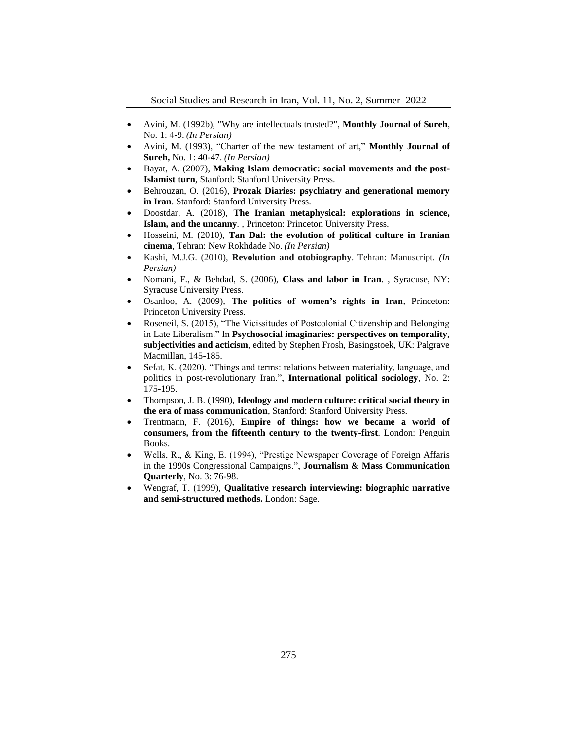- Avini, M. (1992b), "Why are intellectuals trusted?", **Monthly Journal of Sureh**, No. 1: 4-9. *(In Persian)*
- Avini, M. (1993), "Charter of the new testament of art," **Monthly Journal of Sureh,** No. 1: 40-47. *(In Persian)*
- Bayat, A. (2007), **Making Islam democratic: social movements and the post-Islamist turn**, Stanford: Stanford University Press.
- Behrouzan, O. (2016), **Prozak Diaries: psychiatry and generational memory in Iran**. Stanford: Stanford University Press.
- Doostdar, A. (2018), **The Iranian metaphysical: explorations in science, Islam, and the uncanny***. ,* Princeton: Princeton University Press.
- Hosseini, M. (2010), **Tan Dal: the evolution of political culture in Iranian cinema**, Tehran: New Rokhdade No. *(In Persian)*
- Kashi, M.J.G. (2010), **Revolution and otobiography**. Tehran: Manuscript. *(In Persian)*
- Nomani, F., & Behdad, S. (2006), **Class and labor in Iran**. , Syracuse, NY: Syracuse University Press.
- Osanloo, A. (2009), **The politics of women's rights in Iran**, Princeton: Princeton University Press.
- Roseneil, S. (2015), "The Vicissitudes of Postcolonial Citizenship and Belonging in Late Liberalism." In **Psychosocial imaginaries: perspectives on temporality, subjectivities and acticism**, edited by Stephen Frosh, Basingstoek, UK: Palgrave Macmillan, 145-185.
- Sefat, K. (2020), "Things and terms: relations between materiality, language, and politics in post-revolutionary Iran.", **International political sociology**, No. 2: 175-195.
- Thompson, J. B. (1990), **Ideology and modern culture: critical social theory in the era of mass communication**, Stanford: Stanford University Press.
- Trentmann, F. (2016), **Empire of things: how we became a world of consumers, from the fifteenth century to the twenty-first**. London: Penguin Books.
- Wells, R., & King, E. (1994), "Prestige Newspaper Coverage of Foreign Affaris in the 1990s Congressional Campaigns.", **Journalism & Mass Communication Quarterly**, No. 3: 76-98.
- Wengraf, T. (1999), **Qualitative research interviewing: biographic narrative and semi-structured methods.** London: Sage.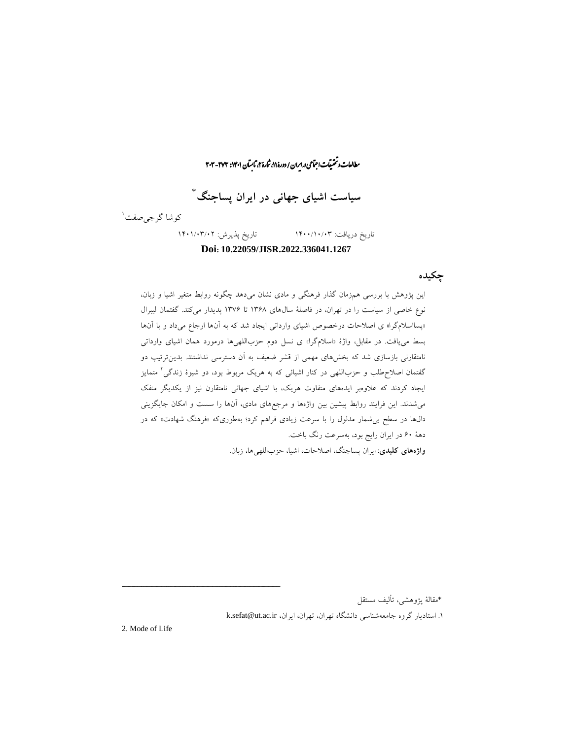$\vdots$ رایان و تحقیقات اجتماعی در ایران / دورۀ ۱۱، شارۀ ۲، تابسآن ۱۴۰۱: ۲۰۳- ۳۰۳-ما ی

**سیاست اشیای جهانی در ایران پساجنگ** \*

کوشا گرج*ی صف*ت ٰ

تاریخ دریافت: 1400/10/03 تاریخ پذیرش: 1401/03/02 **Doi: 10.22059/JISR.2022.336041.1267**

**چکیده**

این پژوهش با بررسی همزمان گذار فرهنگی و مادی نشان میدهد چگونه روابط متغیر اشیا و زبان، نوع خاصی از سیاست را در تهران، در فاصلۀ سالهای 13۶۸ تا 13۷۶ پدیدار میکند. گفتمان لیبرال »پسااسالمگرا« ی اصالحات درخصوص اشیای وارداتی ایجاد شد که به آنها ارجاع میداد و با آنها بسط مییافت. در مقابل، واژۀ »اسالمگرا« ی نسل دوم حزباللهیها درمورد همان اشیای وارداتی نامتقارنی بازسازی شد که بخشهای مهمی از قشر ضعیف به آن دسترسی نداشتند. بدینترتیب دو 2 گفتمان اصالحطلب و حزباللهی در کنار اشیائی که به هریک مربوط بود، دو شیوۀ زندگی متمایز ایجاد کردند که عالوهبر ایدههای متفاوت هریک، با اشیای جهانی نامتقارن نیز از یکدیگر منفک میشدند. این فرایند روابط پیشین بین واژهها و مرجعهای مادی، آنها را سست و امکان جایگزینی دالها در سطح بیشمار مدلول را با سرعت زیادی فراهم کرد؛ بهطوریکه »فرهنگ شهادت« که در دهۀ ۶0 در ایران رایج بود، بهسرعت رنگ باخت. **واژههای کلیدی**: ایران پساجنگ، اصالحات، اشیا، حزباللهیها، زبان.

\*مقالۀ پژوهشی، تألیف مستقل

1. استادیار گروه جامعهشناسی دانشگاه تهران، تهران، ایران، k.sefat@ut.ac.ir

2. Mode of Life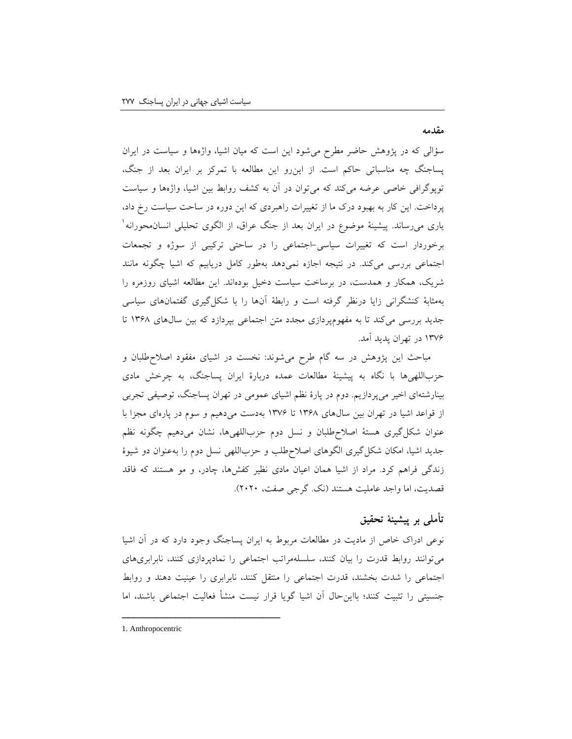**مقدمه**

سؤالی که در پژوهش حاضر مطرح میشود این است که میان اشیا، واژهها و سیاست در ایران پساجنگ چه مناسباتی حاکم است. از اینرو این مطالعه با تمرکز بر ایران بعد از جنگ، توپوگرافی خاصی عرضه میکند که میتوان در آن به کشف روابط بین اشیا، واژهها و سیاست پرداخت. این کار به بهبود درک ما از تغییرات راهبردی که این دوره در ساحت سیاست رخ داد، باری می<sub>ر</sub>ساند. پیشینۀ موضوع در ایران بعد از جنگ عراق، از الگوی تحلیلی انسان.محورانه` برخوردار است که تغییرات سیاسی-اجتماعی را در ساحتی ترکیبی از سوژه و تجمعات اجتماعی بررسی میکند. در نتیجه اجازه نمیدهد بهطور کامل دریابیم که اشیا چگونه مانند شریک، همکار و همدست، در برساخت سیاست دخیل بودهاند. این مطالعه اشیای روزمره را بهمثابۀ کنشگرانی زایا درنظر گرفته است و رابطۀ آنها را با شکلگیری گفتمانهای سیاسی جدید بررسی میکند تا به مفهومپردازی مجدد متن اجتماعی بپردازد که بین سالهای 13۶۸ تا 13۷۶ در تهران پدید آمد.

مباحث این پژوهش در سه گام طرح میشوند: نخست در اشیای مفقود اصالحطلبان و حزباللهیها با نگاه به پیشینۀ مطالعات عمده دربارۀ ایران پساجنگ، به چرخش مادی بینارشتهای اخیر میپردازیم. دوم در پارۀ نظم اشیای عمومی در تهران پساجنگ، توصیفی تجربی از قواعد اشیا در تهران بین سالهای 13۶۸ تا 13۷۶ بهدست میدهیم و سوم در پارهای مجزا با عنوان شکلگیری هستۀ اصالحطلبان و نسل دوم حزباللهیها، نشان میدهیم چگونه نظم جدید اشیا، امکان شکلگیری الگوهای اصالحطلب و حزباللهی نسل دوم را بهعنوان دو شیوۀ زندگی فراهم کرد. مراد از اشیا همان اعیان مادی نظیر کفشها، چادر، و مو هستند که فاقد قصدیت، اما واجد عاملیت هستند )نک. گرجی صفت، 2020(.

# **تأملی بر پیشینۀ تحقیق**

نوعی ادراک خاص از مادیت در مطالعات مربوط به ایران پساجنگ وجود دارد که در آن اشیا میتوانند روابط قدرت را بیان کنند، سلسلهمراتب اجتماعی را نمادپردازی کنند، نابرابریهای اجتماعی را شدت بخشند، قدرت اجتماعی را منتقل کنند، نابرابری را عینیت دهند و روابط جنسیتی را تثبیت کنند؛ بااینحال آن اشیا گویا قرار نیست منشأ فعالیت اجتماعی باشند، اما

<sup>1.</sup> Anthropocentric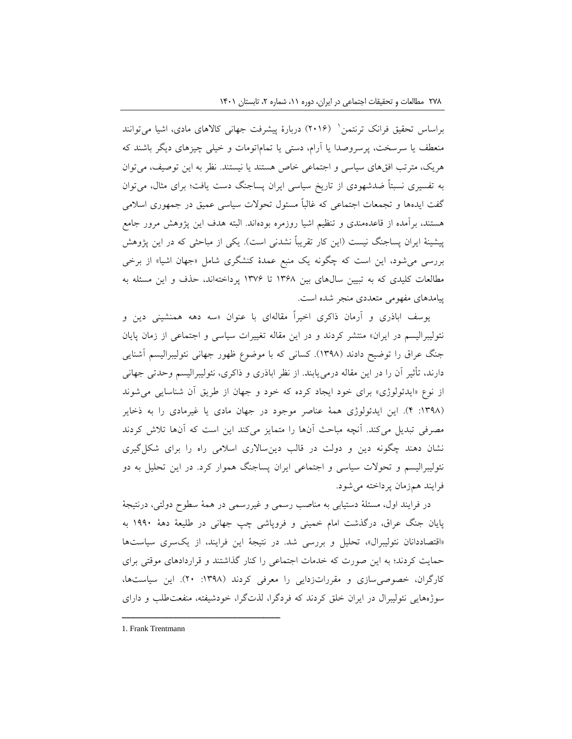براساس تحقیق فرانک ترنتمن` (۲۰۱۶) دربارۀ پیشرفت جهانی کالاهای مادی، اشیا میتوانند منعطف یا سرسخت، پرسروصدا یا آرام، دستی یا تماماتومات و خیلی چیزهای دیگر باشند که هریک، مترتب افقهای سیاسی و اجتماعی خاص هستند یا نیستند. نظر به این توصیف، میتوان به تفسیری نسبتاً ضدشهودی از تاریخ سیاسی ایران پساجنگ دست یافت؛ برای مثال، میتوان گفت ایدهها و تجمعات اجتماعی که غالباً مسئول تحوالت سیاسی عمیق در جمهوری اسالمی هستند، برآمده از قاعدهمندی و تنظیم اشیا روزمره بودهاند. البته هدف این پژوهش مرور جامع پیشینۀ ایران پساجنگ نیست (این کار تقریباً نشدنی است). یکی از مباحثی که در این پژوهش بررسی میشود، این است که چگونه یک منبع عمدۀ کنشگری شامل »جهان اشیا« از برخی مطالعات کلیدی که به تبیین سالهای بین 13۶۸ تا 13۷۶ پرداختهاند، حذف و این مسئله به پیامدهای مفهومی متعددی منجر شده است.

یوسف اباذری و آرمان ذاکری اخیراً مقالهای با عنوان »سه دهه همنشینی دین و نئولیبرالیسم در ایران» منتشر کردند و در این مقاله تغییرات سیاسی و اجتماعی از زمان پایان جنگ عراق را توضیح دادند (۱۳۹۸). کسانی که با موضوع ظهور جهانی نئولیبرالیسم آشنایی دارند، تأثیر آن را در این مقاله درمییابند. از نظر اباذری و ذاکری، نئولیبرالیسم وحدتی جهانی از نوع «ایدئولوژی» برای خود ایجاد کرده که خود و جهان از طریق آن شناسایی می شوند ):13۹۸ 4(. این ایدئولوژی همۀ عناصر موجود در جهان مادی یا غیرمادی را به ذخایر مصرفی تبدیل میکند. آنچه مباحث آنها را متمایز میکند این است که آنها تالش کردند نشان دهند چگونه دین و دولت در قالب دینساالری اسالمی راه را برای شکلگیری نئولیبرالیسم و تحوالت سیاسی و اجتماعی ایران پساجنگ هموار کرد. در این تحلیل به دو فرایند همزمان پرداخته میشود.

در فرایند اول، مسئلۀ دستیابی به مناصب رسمی و غیررسمی در همۀ سطوح دولتی، درنتیجۀ پایان جنگ عراق، درگذشت امام خمینی و فروپاشی چپ جهانی در طلیعۀ دهۀ 1۹۹0 به «اقتصاددانان نئولیبرال»، تحلیل و بررسی شد. در نتیجۀ این فرایند، از یکسری سیاستها حمایت کردند؛ به این صورت که خدمات اجتماعی را کنار گذاشتند و قراردادهای موقتی برای کارگران، خصوصیسازی و مقرراتزدایی را معرفی کردند ):13۹۸ 20(. این سیاستها، سوژههایی نئولیبرال در ایران خلق کردند که فردگرا، لذتگرا، خودشیفته، منفعتطلب و دارای

<sup>1.</sup> Frank Trentmann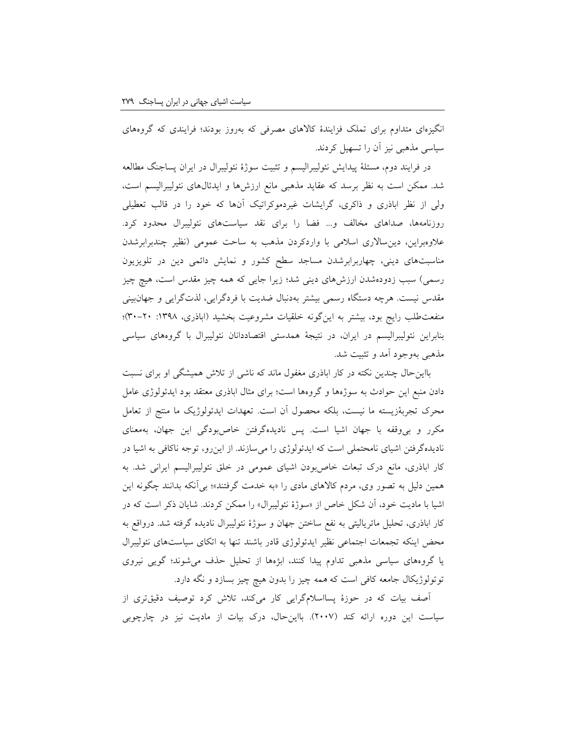انگیزهای متداوم برای تملک فزایندۀ کاالهای مصرفی که بهروز بودند؛ فرایندی که گروههای سیاسی مذهبی نیز آن را تسهیل کردند.

در فرایند دوم، مسئلۀ پیدایش نئولیبرالیسم و تثبیت سوژۀ نئولیبرال در ایران پساجنگ مطالعه شد. ممکن است به نظر برسد که عقاید مذهبی مانع ارزشها و ایدئالهای نئولیبرالیسم است، ولی از نظر اباذری و ذاکری، گرایشات غیردموکراتیک آنها که خود را در قالب تعطیلی روزنامهها، صداهای مخالف و... فضا را برای نقد سیاستهای نئولیبرال محدود کرد. علاوهبراین، دین سالاری اسلامی با واردکردن مذهب به ساحت عمومی (نظیر چندبرابرشدن مناسبتهای دینی، چهاربرابرشدن مساجد سطح کشور و نمایش دائمی دین در تلویزیون رسمی) سبب زدودهشدن ارزشهای دینی شد؛ زیرا جایی که همه چیز مقدس است، هیچ چیز مقدس نیست. هرچه دستگاه رسمی بیشتر بهدنبال ضدیت با فردگرایی، لذتگرایی و جهانبینی منفعتطلب رایج بود، بیشتر به اینگونه خلقیات مشروعیت بخشید )اباذری، :13۹۸ 30-20(؛ بنابراین نئولیبرالیسم در ایران، در نتیجۀ همدستی اقتصاددانان نئولیبرال با گروههای سیاسی مذهبی بهوجود آمد و تثبیت شد.

بااینحال چندین نکته در کار اباذری مغفول ماند که ناشی از تالش همیشگی او برای نسبت دادن منبع این حوادث به سوژهها و گروهها است؛ برای مثال اباذری معتقد بود ایدئولوژی عامل محرک تجربۀزیسته ما نیست، بلکه محصول آن است. تعهدات ایدئولوژیک ما منتج از تعامل مکرر و بیوقفه با جهان اشیا است. پس نادیدهگرفتن خاصبودگی این جهان، بهمعنای نادیدهگرفتن اشیای نامحتملی است که ایدئولوژی را میسازند. از اینرو، توجه ناکافی به اشیا در کار اباذری، مانع درک تبعات خاصبودن اشیای عمومی در خلق نئولیبرالیسم ایرانی شد. به همین دلیل به تصور وی، مردم کاالهای مادی را »به خدمت گرفتند«؛ بیآنکه بدانند چگونه این اشیا با مادیت خود، آن شکل خاص از »سوژۀ نئولیبرال« را ممکن کردند. شایان ذکر است که در کار اباذری، تحلیل ماتریالیتی به نفع ساختن جهان و سوژۀ نئولیبرال نادیده گرفته شد. درواقع به محض اینکه تجمعات اجتماعی نظیر ایدئولوژی قادر باشند تنها به اتکای سیاستهای نئولیبرال یا گروههای سیاسی مذهبی تداوم پیدا کنند، ابژهها از تحلیل حذف میشوند؛ گویی نیروی توتولوژیکال جامعه کافی است که همه چیز را بدون هیچ چیز بسازد و نگه دارد.

آصف بیات که در حوزۀ پسااسالمگرایی کار میکند، تالش کرد توصیف دقیقتری از سیاست این دوره ارائه کند )200۷(. بااینحال، درک بیات از مادیت نیز در چارچوبی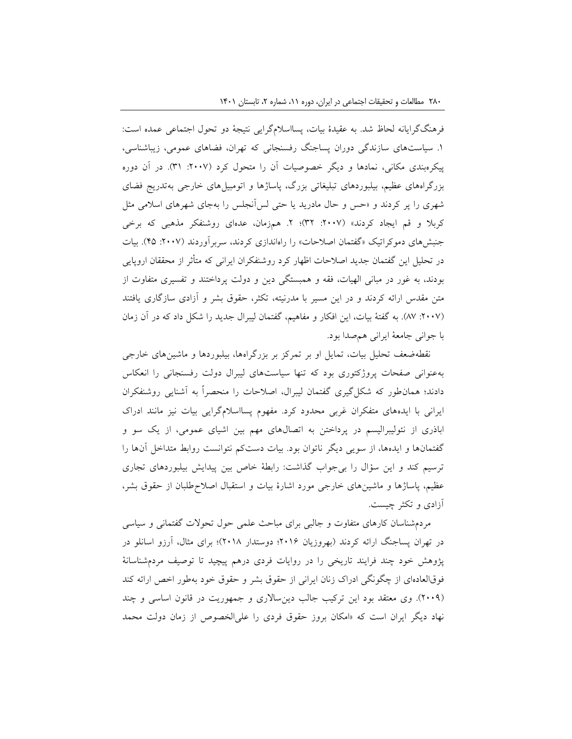فرهنگگرایانه لحاظ شد. به عقیدۀ بیات، پسااسالمگرایی نتیجۀ دو تحول اجتماعی عمده است: .1 سیاستهای سازندگی دوران پساجنگ رفسنجانی که تهران، فضاهای عمومی، زیباشناسی، پیکرهبندی مکانی، نمادها و دیگر خصوصیات آن را متحول کرد ):200۷ 31(. در آن دوره بزرگراههای عظیم، بیلبوردهای تبلیغاتی بزرگ، پاساژها و اتومبیلهای خارجی بهتدریج فضای شهری را پر کردند و »حس و حال مادرید یا حتی لسآنجلس را بهجای شهرهای اسالمی مثل کربلا و قم ایجاد کردند» (۲۰۰۷: ۳۲)؛ ۲. همزمان، عدهای روشنفکر مذهبی که برخی جنبشهای دموکراتیک »گفتمان اصالحات« را راهاندازی کردند، سربرآوردند ):200۷ 4۵(. بیات در تحلیل این گفتمان جدید اصالحات اظهار کرد روشنفکران ایرانی که متأثر از محققان اروپایی بودند، به غور در مبانی الهیات، فقه و همبستگی دین و دولت پرداختند و تفسیری متفاوت از متن مقدس ارائه کردند و در این مسیر با مدرنیته، تکثر، حقوق بشر و آزادی سازگاری یافتند ):200۷ ۸۷(. به گفتۀ بیات، این افکار و مفاهیم، گفتمان لیبرال جدید را شکل داد که در آن زمان با جوانی جامعۀ ایرانی همصدا بود.

نقطهضعف تحلیل بیات، تمایل او بر تمرکز بر بزرگراهها، بیلبوردها و ماشینهای خارجی بهعنوانی صفحات پروژکتوری بود که تنها سیاستهای لیبرال دولت رفسنجانی را انعکاس دادند؛ همانطور که شکلگیری گفتمان لیبرال، اصالحات را منحصراً به آشنایی روشنفکران ایرانی با ایدههای متفکران غربی محدود کرد. مفهوم پسااسالمگرایی بیات نیز مانند ادراک اباذری از نئولیبرالیسم در پرداختن به اتصالهای مهم بین اشیای عمومی، از یک سو و گفتمانها و ایدهها، از سویی دیگر ناتوان بود. بیات دستکم نتوانست روابط متداخل آنها را ترسیم کند و این سؤال را بیجواب گذاشت: رابطۀ خاص بین پیدایش بیلبوردهای تجاری عظیم، پاساژها و ماشینهای خارجی مورد اشارۀ بیات و استقبال اصالحطلبان از حقوق بشر، آزادی و تکثر چیست.

مردمشناسان کارهای متفاوت و جالبی برای مباحث علمی حول تحوالت گفتمانی و سیاسی در تهران پساجنگ ارائه کردند (بهروزیان ۲۰۱۶؛ دوستدار ۲۰۱۸)؛ برای مثال، آرزو اسانلو در پژوهش خود چند فرایند تاریخی را در روایات فردی درهم پیچید تا توصیف مردمشناسانۀ فوقالعادهای از چگونگی ادراک زنان ایرانی از حقوق بشر و حقوق خود بهطور اخص ارائه کند )200۹(. وی معتقد بود این ترکیب جالب دینساالری و جمهوریت در قانون اساسی و چند نهاد دیگر ایران است که »امکان بروز حقوق فردی را علیالخصوص از زمان دولت محمد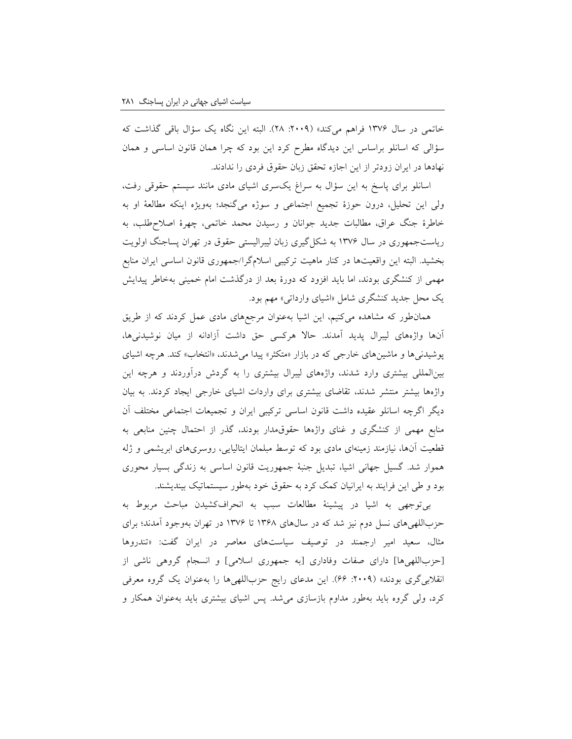خاتمی در سال 13۷۶ فراهم میکند« ):200۹ 2۸(. البته این نگاه یک سؤال باقی گذاشت که سؤالی که اسانلو براساس این دیدگاه مطرح کرد این بود که چرا همان قانون اساسی و همان نهادها در ایران زودتر از این اجازه تحقق زبان حقوق فردی را ندادند.

اسانلو برای پاسخ به این سؤال به سراغ یکسری اشیای مادی مانند سیستم حقوقی رفت، ولی این تحلیل، درون حوزۀ تجمیع اجتماعی و سوژه میگنجد؛ بهویژه اینکه مطالعۀ او به خاطرۀ جنگ عراق، مطالبات جدید جوانان و رسیدن محمد خاتمی، چهرۀ اصالحطلب، به ریاستجمهوری در سال 13۷۶ به شکلگیری زبان لیبرالیستی حقوق در تهران پساجنگ اولویت بخشید. البته این واقعیتها در کنار ماهیت ترکیبی اسالمگرا/جمهوری قانون اساسی ایران منابع مهمی از کنشگری بودند، اما باید افزود که دورۀ بعد از درگذشت امام خمینی بهخاطر پیدایش یک محل جدید کنشگری شامل »اشیای وارداتی« مهم بود.

همانطور که مشاهده میکنیم، این اشیا بهعنوان مرجعهای مادی عمل کردند که از طریق آنها واژههای لیبرال پدید آمدند. حاال هرکسی حق داشت آزادانه از میان نوشیدنیها، پوشیدنیها و ماشینهای خارجی که در بازار »متکثر« پیدا میشدند، »انتخاب« کند. هرچه اشیای بینالمللی بیشتری وارد شدند، واژههای لیبرال بیشتری را به گردش درآوردند و هرچه این واژهها بیشتر منتشر شدند، تقاضای بیشتری برای واردات اشیای خارجی ایجاد کردند. به بیان دیگر اگرچه اسانلو عقیده داشت قانون اساسی ترکیبی ایران و تجمیعات اجتماعی مختلف آن منابع مهمی از کنشگری و غنای واژهها حقوقمدار بودند، گذر از احتمال چنین منابعی به قطعیت آنها، نیازمند زمینهای مادی بود که توسط مبلمان ایتالیایی، روسریهای ابریشمی و ژله هموار شد. گسیل جهانی اشیا، تبدیل جنبۀ جمهوریت قانون اساسی به زندگی بسیار محوری بود و طی این فرایند به ایرانیان کمک کرد به حقوق خود بهطور سیستماتیک بیندیشند.

بیتوجهی به اشیا در پیشینۀ مطالعات سبب به انحرافکشیدن مباحث مربوط به حزباللهیهای نسل دوم نیز شد که در سالهای 13۶۸ تا 13۷۶ در تهران بهوجود آمدند؛ برای مثال، سعید امیر ارجمند در توصیف سیاستهای معاصر در ایران گفت: »تندروها ]حزباللهیها[ دارای صفات وفاداری ]به جمهوری اسالمی[ و انسجام گروهی ناشی از انقلابیگری بودند» (۲۰۰۹: ۶۶). این مدعای رایج حزباللهیها را بهعنوان یک گروه معرفی کرد، ولی گروه باید بهطور مداوم بازسازی میشد. پس اشیای بیشتری باید بهعنوان همکار و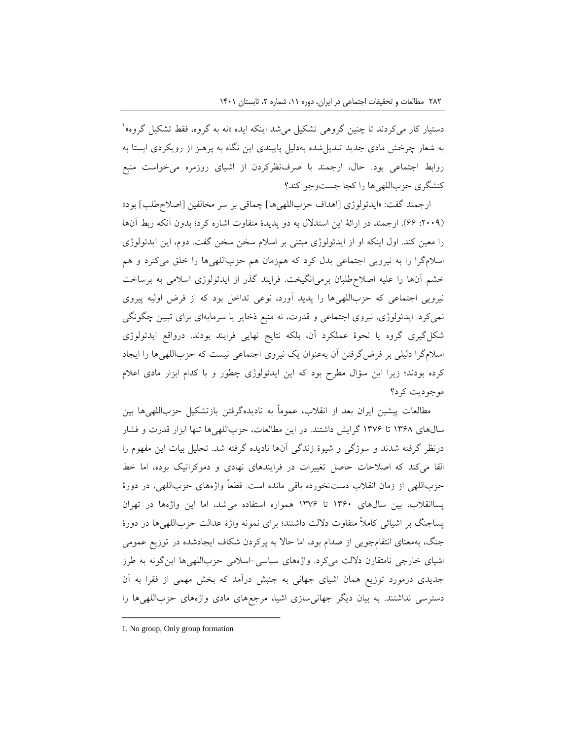دستیار کار میکردند تا چنین گروهی تشکیل میشد اینکه ایده «نه به گروه، فقط تشکیل گروه»<sup>\</sup> به شعار چرخش مادی جدید تبدیلشده بهدلیل پایبندی این نگاه به پرهیز از رویکردی ایستا به روابط اجتماعی بود. حال، ارجمند با صرفنظرکردن از اشیای روزمره میخواست منبع کنشگری حزباللهیها را کجا جستوجو کند؟

ارجمند گفت: »ایدئولوژی ]اهداف حزباللهیها[ چماقی بر سر مخالفین ]اصالحطلب[ بود« ):200۹ ۶۶(. ارجمند در ارائۀ این استدالل به دو پدیدۀ متفاوت اشاره کرد؛ بدون آنکه ربط آنها را معین کند. اول اینکه او از ایدئولوژی مبتنی بر اسالم سخن سخن گفت. دوم، این ایدئولوژی اسالمگرا را به نیرویی اجتماعی بدل کرد که همزمان هم حزباللهیها را خلق میکنرد و هم خشم آنها را علیه اصالحطلبان برمیانگیخت. فرایند گذر از ایدئولوژی اسالمی به برساخت نیرویی اجتماعی که حزباللهیها را پدید آورد، نوعی تداخل بود که از فرض اولیه پیروی نمیکرد. ایدئولوژی، نیروی اجتماعی و قدرت، نه منبع ذخایر یا سرمایهای برای تبیین چگونگی شکلگیری گروه یا نحوۀ عملکرد آن، بلکه نتایج نهایی فرایند بودند. درواقع ایدئولوژی اسالمگرا دلیلی بر فرضگرفتن آن بهعنوان یک نیروی اجتماعی نیست که حزباللهیها را ایجاد کرده بودند؛ زیرا این سؤال مطرح بود که این ایدئولوژی چطور و با کدام ابزار مادی اعالم موجودیت کرد؟

مطالعات پیشین ایران بعد از انقالب، عموماً به نادیدهگرفتن بازتشکیل حزباللهیها بین سالهای 13۶۸ تا 13۷۶ گرایش داشتند. در این مطالعات، حزباللهیها تنها ابزار قدرت و فشار درنظر گرفته شدند و سوژگی و شیوۀ زندگی آنها نادیده گرفته شد. تحلیل بیات این مفهوم را القا میکند که اصالحات حاصل تغییرات در فرایندهای نهادی و دموکراتیک بوده، اما خط حزباللهی از زمان انقالب دستنخورده باقی مانده است. قطعاً واژههای حزباللهی، در دورۀ پساانقالب، بین سالهای 13۶0 تا 13۷۶ همواره استفاده میشد، اما این واژهها در تهران پساجنگ بر اشیائی کامالً متفاوت داللت داشتند؛ برای نمونه واژۀ عدالت حزباللهیها در دورۀ جنگ، بهمعنای انتقامجویی از صدام بود، اما حاال به پرکردن شکاف ایجادشده در توزیع عمومی اشیای خارجی نامتقارن داللت میکرد. واژههای سیاسی-اسالمی حزباللهیها اینگونه به طرز جدیدی درمورد توزیع همان اشیای جهانی به جنبش درآمد که بخش مهمی از فقرا به آن دسترسی نداشتند. به بیان دیگر جهانیسازی اشیا، مرجعهای مادی واژههای حزباللهیها را

<sup>1.</sup> No group, Only group formation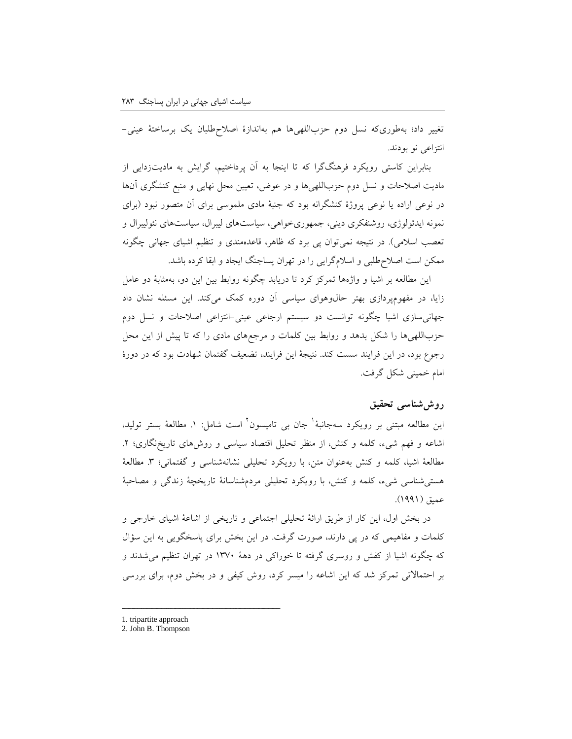تغییر داد؛ بهطوریکه نسل دوم حزباللهیها هم بهاندازۀ اصالحطلبان یک برساختۀ عینی- انتزاعی نو بودند.

بنابراین کاستی رویکرد فرهنگگرا که تا اینجا به آن پرداختیم، گرایش به مادیتزدایی از مادیت اصالحات و نسل دوم حزباللهیها و در عوض، تعیین محل نهایی و منبع کنشگری آنها در نوعی اراده یا نوعی پروژۀ کنشگرانه بود که جنبۀ مادی ملموسی برای آن متصور نبود )برای نمونه ایدئولوژی، روشنفکری دینی، جمهوریخواهی، سیاستهای لیبرال، سیاستهای نئولیبرال و تعصب اسلامی). در نتیجه نمیتوان پی برد که ظاهر، قاعدهمندی و تنظیم اشیای جهانی چگونه ممکن است اصالحطلبی و اسالمگرایی را در تهران پساجنگ ایجاد و ابقا کرده باشد.

این مطالعه بر اشیا و واژهها تمرکز کرد تا دریابد چگونه روابط بین این دو، بهمثابۀ دو عامل زایا، در مفهومپردازی بهتر حالوهوای سیاسی آن دوره کمک میکند. این مسئله نشان داد جهانیسازی اشیا چگونه توانست دو سیستم ارجاعی عینی-انتزاعی اصالحات و نسل دوم حزباللهیها را شکل بدهد و روابط بین کلمات و مرجعهای مادی را که تا پیش از این محل رجوع بود، در این فرایند سست کند. نتیجۀ این فرایند، تضعیف گفتمان شهادت بود که در دورۀ امام خمینی شکل گرفت.

## **روششناسی تحقیق**

ین مطالعه مبتنی بر رویکرد سهجانبۀ<sup>י</sup> جان بی تامپسون<sup>۲</sup> است شامل: ۱. مطالعۀ بستر تولید، اشاعه و فهم شیء، کلمه و کنش، از منظر تحلیل اقتصاد سیاسی و روشهای تاریخنگاری؛ .2 مطالعۀ اشیا، کلمه و کنش بهعنوان متن، با رویکرد تحلیلی نشانهشناسی و گفتمانی؛ ٣. مطالعۀ هستیشناسی شیء، کلمه و کنش، با رویکرد تحلیلی مردمشناسانۀ تاریخچۀ زندگی و مصاحبۀ عمیق (۱۹۹۱).

در بخش اول، این کار از طریق ارائۀ تحلیلی اجتماعی و تاریخی از اشاعۀ اشیای خارجی و کلمات و مفاهیمی که در پی دارند، صورت گرفت. در این بخش برای پاسخگویی به این سؤال که چگونه اشیا از کفش و روسری گرفته تا خوراکی در دهۀ 13۷0 در تهران تنظیم میشدند و بر احتماالتی تمرکز شد که این اشاعه را میسر کرد، روش کیفی و در بخش دوم، برای بررسی

<sup>1.</sup> tripartite approach

<sup>2.</sup> John B. Thompson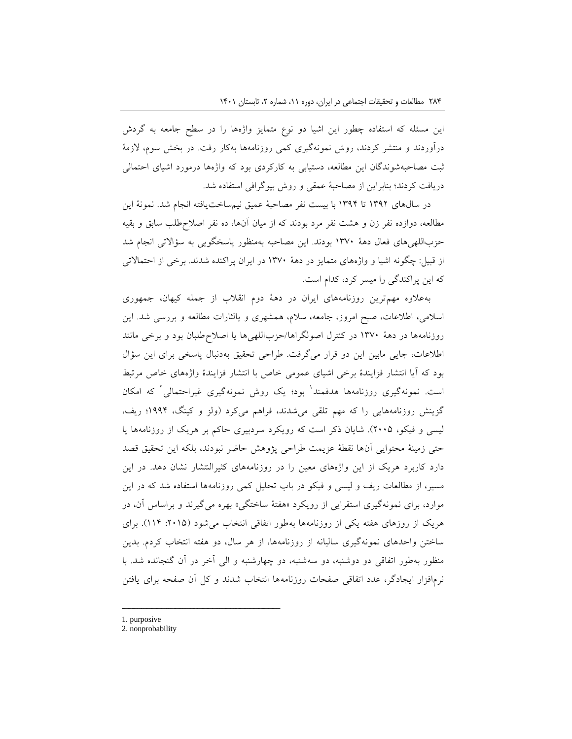این مسئله که استفاده چطور این اشیا دو نوع متمایز واژهها را در سطح جامعه به گردش درآوردند و منتشر کردند، روش نمونهگیری کمی روزنامهها بهکار رفت. در بخش سوم، الزمۀ ثبت مصاحبهشوندگان این مطالعه، دستیابی به کارکردی بود که واژهها درمورد اشیای احتمالی دریافت کردند؛ بنابراین از مصاحبۀ عمقی و روش بیوگرافی استفاده شد.

در سالهای 13۹2 تا 13۹4 با بیست نفر مصاحبۀ عمیق نیمساختیافته انجام شد. نمونۀ این مطالعه، دوازده نفر زن و هشت نفر مرد بودند که از میان آنها، ده نفر اصالحطلب سابق و بقیه حزباللهیهای فعال دهۀ 13۷0 بودند. این مصاحبه بهمنظور پاسخگویی به سؤاالتی انجام شد از قبیل: چگونه اشیا و واژههای متمایز در دهۀ 13۷0 در ایران پراکنده شدند. برخی از احتماالتی که این پراکندگی را میسر کرد، کدام است.

بهعالوه مهمترین روزنامههای ایران در دهۀ دوم انقالب از جمله کیهان، جمهوری اسالمی، اطالعات، صبح امروز، جامعه، سالم، همشهری و یالثارات مطالعه و بررسی شد. این روزنامهها در دهۀ 13۷0 در کنترل اصولگراها/حزباللهیها یا اصالحطلبان بود و برخی مانند اطالعات، جایی مابین این دو قرار میگرفت. طراحی تحقیق بهدنبال پاسخی برای این سؤال بود که آیا انتشار فزایندۀ برخی اشیای عمومی خاص با انتشار فزایندۀ واژههای خاص مرتبط ست. نمونهگیری روزنامهها هدفمند<sup>ا</sup> بود؛ یک روش نمونهگیری غیراحتمالی<sup>۲</sup> که امکان گزینش روزنامههایی را که مهم تلقی میشدند، فراهم میکرد )ولز و کینگ، 1۹۹4؛ ریف، لیسی و فیکو، 200۵(. شایان ذکر است که رویکرد سردبیری حاکم بر هریک از روزنامهها یا حتی زمینۀ محتوایی آنها نقطۀ عزیمت طراحی پژوهش حاضر نبودند، بلکه این تحقیق قصد دارد کاربرد هریک از این واژههای معین را در روزنامههای کثیرالنتشار نشان دهد. در این مسیر، از مطالعات ریف و لیسی و فیکو در باب تحلیل کمی روزنامهها استفاده شد که در این موارد، برای نمونهگیری استقرایی از رویکرد »هفتۀ ساختگی« بهره میگیرند و براساس آن، در هریک از روزهای هفته یکی از روزنامهها بهطور اتفاقی انتخاب میشود ):201۵ 114(. برای ساختن واحدهای نمونهگیری سالیانه از روزنامهها، از هر سال، دو هفته انتخاب کردم. بدین منظور بهطور اتفاقی دو دوشنبه، دو سهشنبه، دو چهارشنبه و الی آخر در آن گنجانده شد. با نرمافزار ایجادگر، عدد اتفاقی صفحات روزنامهها انتخاب شدند و کل آن صفحه برای یافتن

<sup>1.</sup> purposive

<sup>2.</sup> nonprobability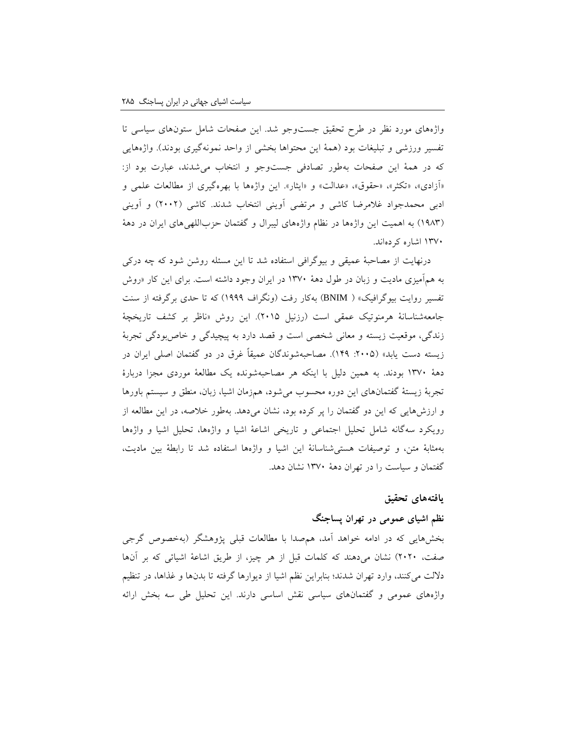واژههای مورد نظر در طرح تحقیق جستوجو شد. این صفحات شامل ستونهای سیاسی تا تفسیر ورزشی و تبلیغات بود (همۀ این محتواها بخشی از واحد نمونهگیری بودند). واژههایی که در همۀ این صفحات بهطور تصادفی جستوجو و انتخاب میشدند، عبارت بود از: «آزادی»، «تکثر»، «حقوق»، «عدالت» و «ایثار». این واژهها با بهرهگیری از مطالعات علمی و ادبی محمدجواد غالمرضا کاشی و مرتضی آوینی انتخاب شدند. کاشی )2002( و آوینی )1۹۸3( به اهمیت این واژهها در نظام واژههای لیبرال و گفتمان حزباللهیهای ایران در دهۀ 13۷0 اشاره کردهاند.

درنهایت از مصاحبۀ عمیقی و بیوگرافی استفاده شد تا این مسئله روشن شود که چه درکی به همآمیزی مادیت و زبان در طول دهۀ 13۷0 در ایران وجود داشته است. برای این کار »روش تفسیر روایت بیوگرافیک« ) BNIM )بهکار رفت )ونگراف 1۹۹۹( که تا حدی برگرفته از سنت جامعهشناسانۀ هرمنوتیک عمقی است (رزنیل ۲۰۱۵). این روش «ناظر بر کشف تاریخچۀ زندگی، موقعیت زیسته و معانی شخصی است و قصد دارد به پیچیدگی و خاصبودگی تجربۀ زیسته دست یابد» (۲۰۰۵: ۱۴۹). مصاحبهشوندگان عمیقاً غرق در دو گفتمان اصلی ایران در دهۀ 13۷0 بودند. به همین دلیل با اینکه هر مصاحبهشونده یک مطالعۀ موردی مجزا دربارۀ تجربۀ زیستۀ گفتمانهای این دوره محسوب میشود، همزمان اشیا، زبان، منطق و سیستم باورها و ارزشهایی که این دو گفتمان را پر کرده بود، نشان میدهد. بهطور خالصه، در این مطالعه از رویکرد سهگانه شامل تحلیل اجتماعی و تاریخی اشاعۀ اشیا و واژهها، تحلیل اشیا و واژهها بهمثابۀ متن، و توصیفات هستیشناسانۀ این اشیا و واژهها استفاده شد تا رابطۀ بین مادیت، گفتمان و سیاست را در تهران دهۀ 13۷0 نشان دهد.

### **یافتههای تحقیق**

### **نظم اشیای عمومی در تهران پساجنگ**

بخشهایی که در ادامه خواهد آمد، همصدا با مطالعات قبلی پژوهشگر )بهخصوص گرجی صفت، 2020( نشان میدهند که کلمات قبل از هر چیز، از طریق اشاعۀ اشیائی که بر آنها داللت میکنند، وارد تهران شدند؛ بنابراین نظم اشیا از دیوارها گرفته تا بدنها و غذاها، در تنظیم واژههای عمومی و گفتمانهای سیاسی نقش اساسی دارند. این تحلیل طی سه بخش ارائه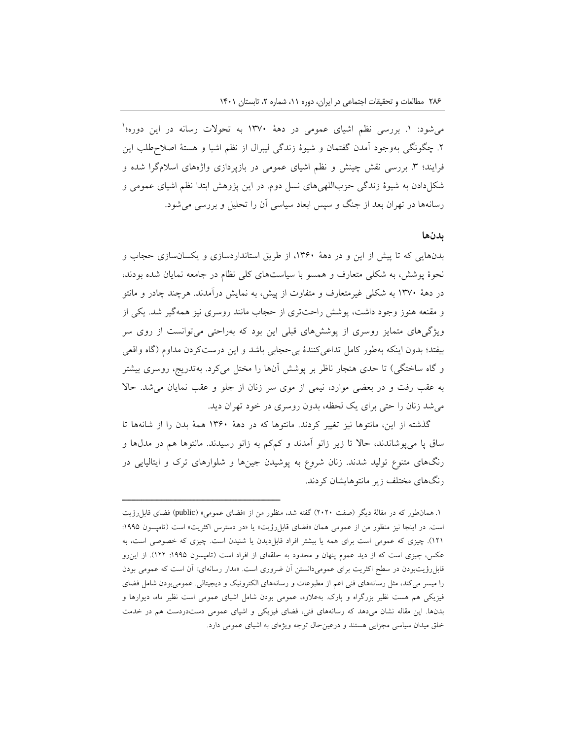میشود: ۱. بررسی نظم اشیای عمومی در دههٔ ۱۳۷۰ به تحولات رسانه در این دوره؛<sup>۱</sup> .2 چگونگی بهوجود آمدن گفتمان و شیوۀ زندگی لیبرال از نظم اشیا و هستۀ اصالحطلب این فرایند؛ ۳. بررسی نقش چینش و نظم اشیای عمومی در بازپردازی واژههای اسلامگرا شده و شکلدادن به شیوۀ زندگی حزباللهیهای نسل دوم. در این پژوهش ابتدا نظم اشیای عمومی و رسانهها در تهران بعد از جنگ و سپس ابعاد سیاسی آن را تحلیل و بررسی میشود.

#### **بدنها**

بدنهایی که تا پیش از این و در دهۀ ،13۶0 از طریق استانداردسازی و یکسانسازی حجاب و نحوۀ پوشش، به شکلی متعارف و همسو با سیاستهای کلی نظام در جامعه نمایان شده بودند، در دهۀ 13۷0 به شکلی غیرمتعارف و متفاوت از پیش، به نمایش درآمدند. هرچند چادر و مانتو و مقنعه هنوز وجود داشت، پوشش راحتتری از حجاب مانند روسری نیز همهگیر شد. یکی از ویژگیهای متمایز روسری از پوششهای قبلی این بود که بهراحتی میتوانست از روی سر بیفتد؛ بدون اینکه بهطور کامل تداعیکنندۀ بیحجابی باشد و این درستکردن مداوم )گاه واقعی و گاه ساختگی) تا حدی هنجار ناظر بر پوشش آنها را مختل میکرد. بهتدریج، روسری بیشتر به عقب رفت و در بعضی موارد، نیمی از موی سر زنان از جلو و عقب نمایان میشد. حاال میشد زنان را حتی برای یک لحظه، بدون روسری در خود تهران دید.

گذشته از این، مانتوها نیز تغییر کردند. مانتوها که در دهۀ 13۶0 همۀ بدن را از شانهها تا ساق پا میپوشاندند، حاال تا زیر زانو آمدند و کمکم به زانو رسیدند. مانتوها هم در مدلها و رنگهای متنوع تولید شدند. زنان شروع به پوشیدن جینها و شلوارهای ترک و ایتالیایی در رنگهای مختلف زیر مانتوهایشان کردند.

<sup>.</sup>1 همانطور که در مقالۀ دیگر )صفت 2020( گفته شد، منظور من از »فضای عمومی« )public )فضای قابلرؤیت است. در اینجا نیز منظور من از عمومی همان «فضای قابلرؤیت» یا «در دسترس اکثریت» است (تامپسون ۱۹۹۵: 121(. چیزی که عمومی است برای همه یا بیشتر افراد قابلدیدن یا شنیدن است. چیزی که خصوصی است، به عکس، چیزی است که از دید عموم پنهان و محدود به حلقهای از افراد است (تامپسون ۱۹۹۵: ۱۲۲). از این رو قابلرؤیتبودن در سطح اکثریت برای عمومیدانستن آن ضروری است. »مدار رسانهای« آن است که عمومی بودن را میسر میکند، مثل رسانههای فنی اعم از مطبوعات و رسانههای الکترونیک و دیجیتالی. عمومیبودن شامل فضای فیزیکی هم هست نظیر بزرگراه و پارک. بهعالوه، عمومی بودن شامل اشیای عمومی است نظیر ماه، دیوارها و بدنها. این مقاله نشان میدهد که رسانههای فنی، فضای فیزیکی و اشیای عمومی دستدردست هم در خدمت خلق میدان سیاسی مجزایی هستند و درعینحال توجه ویژهای به اشیای عمومی دارد.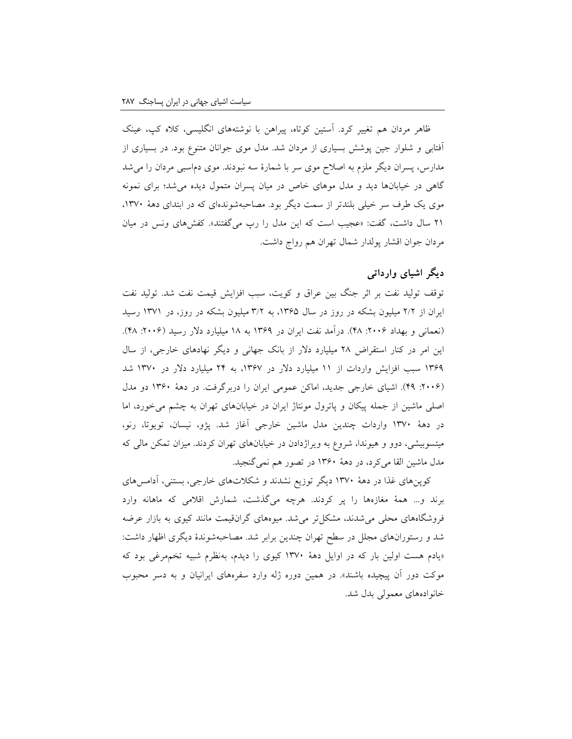ظاهر مردان هم تغییر کرد. آستین کوتاه، پیراهن با نوشتههای انگلیسی، کاله کپ، عینک آفتابی و شلوار جین پوشش بسیاری از مردان شد. مدل موی جوانان متنوع بود. در بسیاری از مدارس، پسران دیگر ملزم به اصالح موی سر با شمارۀ سه نبودند. موی دماسبی مردان را میشد گاهی در خیابانها دید و مدل موهای خاص در میان پسران متمول دیده میشد؛ برای نمونه موی یک طرف سر خیلی بلندتر از سمت دیگر بود. مصاحبهشوندهای که در ابتدای دهۀ ،13۷0 21 سال داشت، گفت: »عجیب است که این مدل را رپ میگفتند«. کفشهای ونس در میان مردان جوان اقشار پولدار شمال تهران هم رواج داشت.

## **دیگر اشیای وارداتی**

توقف تولید نفت بر اثر جنگ بین عراق و کویت، سبب افزایش قیمت نفت شد. تولید نفت ایران از 2/2 میلیون بشکه در روز در سال ،13۶۵ به 3/2 میلیون بشکه در روز، در 13۷1 رسید (نعمانی و بهداد ۲۰۰۶: ۴۸). درآمد نفت ایران در ۱۳۶۹ به ۱۸ میلیارد دلار رسید (۲۰۰۶: ۴۸). این امر در کنار استقراض 2۸ میلیارد دالر از بانک جهانی و دیگر نهادهای خارجی، از سال 13۶۹ سبب افزایش واردات از 11 میلیارد دالر در ،13۶۷ به 24 میلیارد دالر در 13۷0 شد ):200۶ 4۹(. اشیای خارجی جدید، اماکن عمومی ایران را دربرگرفت. در دهۀ 13۶0 دو مدل اصلی ماشین از جمله پیکان و پاترول مونتاژ ایران در خیابانهای تهران به چشم میخورد، اما در دهۀ 13۷0 واردات چندین مدل ماشین خارجی آغاز شد. پژو، نیسان، تویوتا، رنو، میتسوبیشی، دوو و هیوندا، شروع به ویراژدادن در خیابانهای تهران کردند. میزان تمکن مالی که مدل ماشین القا میکرد، در دهۀ 13۶0 در تصور هم نمیگنجید.

کوپنهای غذا در دهۀ 13۷0 دیگر توزیع نشدند و شکالتهای خارجی، بستنی، آدامسهای برند و... همۀ مغازهها را پر کردند. هرچه میگذشت، شمارش اقالمی که ماهانه وارد فروشگاههای محلی میشدند، مشکلتر میشد. میوههای گرانقیمت مانند کیوی به بازار عرضه شد و رستورانهای مجلل در سطح تهران چندین برابر شد. مصاحبهشوندۀ دیگری اظهار داشت: »یادم هست اولین بار که در اوایل دهۀ 13۷0 کیوی را دیدم، بهنظرم شبیه تخممرغی بود که موکت دور آن پیچیده باشند». در همین دوره ژله وارد سفرههای ایرانیان و به دسر محبوب خانوادههای معمولی بدل شد.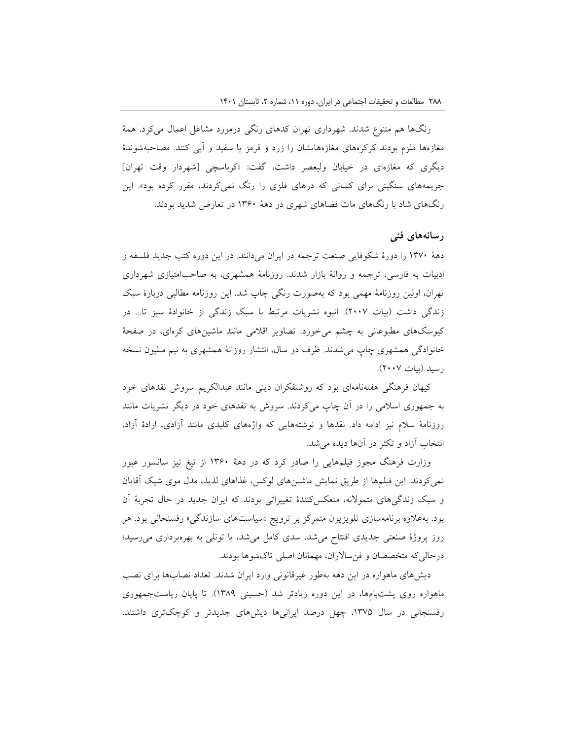رنگها هم متنوع شدند. شهرداری تهران کدهای رنگی درمورد مشاغل اعمال میکرد. همۀ مغازهها ملزم بودند کرکرههای مغازههایشان را زرد و قرمز یا سفید و آبی کنند. مصاحبهشوندۀ دیگری که مغازهای در خیابان ولیعصر داشت، گفت: »کرباسچی ]شهردار وقت تهران[ جریمههای سنگینی برای کسانی که درهای فلزی را رنگ نمیکردند، مقرر کرده بود«. این رنگهای شاد با رنگهای مات فضاهای شهری در دهۀ 13۶0 در تعارض شدید بودند.

### **رسانههای فنی**

دهۀ 13۷0 را دورۀ شکوفایی صنعت ترجمه در ایران میدانند. در این دوره کتب جدید فلسفه و ادبیات به فارسی، ترجمه و روانۀ بازار شدند. روزنامۀ همشهری، به صاحبامتیازی شهرداری تهران، اولین روزنامۀ مهمی بود که بهصورت رنگی چاپ شد. این روزنامه مطالبی دربارۀ سبک زندگی داشت )بیات 200۷(. انبوه نشریات مرتبط با سبک زندگی از خانوادۀ سبز تا... در کیوسکهای مطبوعانی به چشم میخورد. تصاویر اقالمی مانند ماشینهای کرهای، در صفحۀ خانوادگی همشهری چاپ میشدند. ظرف دو سال، انتشار روزانۀ همشهری به نیم میلیون نسخه رسید )بیات 200۷(.

کیهان فرهنگی هفتهنامهای بود که روشنفکران دینی مانند عبدالکریم سروش نقدهای خود به جمهوری اسالمی را در آن چاپ میکردند. سروش به نقدهای خود در دیگر نشریات مانند روزنامۀ سالم نیز ادامه داد. نقدها و نوشتههایی که واژههای کلیدی مانند آزادی، ارادۀ آزاد، انتخاب آزاد و تکثر در آنها دیده میشد.

وزارت فرهنگ مجوز فیلمهایی را صادر کرد که در دهۀ 13۶0 از تیغ تیز سانسور عبور نمیکردند. این فیلمها از طریق نمایش ماشینهای لوکس، غذاهای لذیذ، مدل موی شیک آقایان و سبک زندگیهای متموالنه، منعکسکنندۀ تغییراتی بودند که ایران جدید در حال تجربۀ آن بود. بهعالوه برنامهسازی تلویزیون متمرکز بر ترویج »سیاستهای سازندگی« رفسنجانی بود. هر روز پروژۀ صنعتی جدیدی افتتاح میشد، سدی کامل میشد، یا تونلی به بهرهبرداری میرسید؛ درحالیکه متخصصان و فنساالران، مهمانان اصلی تاکشوها بودند.

دیشهای ماهواره در این دهه بهطور غیرقانونی وارد ایران شدند. تعداد نصابها برای نصب ماهواره روی پشتبامها، در این دوره زیادتر شد )حسینی 13۸۹(. تا پایان ریاستجمهوری رفسنجانی در سال ۱۳۷۵، چهل درصد ایرانیها دیشهای جدیدتر و کوچکتری داشتند.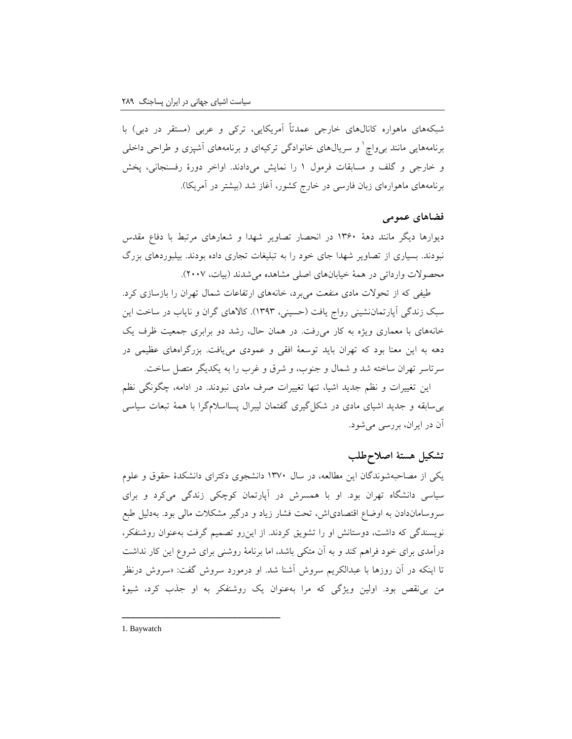شبکههای ماهواره کانالهای خارجی عمدتاً آمریکایی، ترکی و عربی )مستقر در دبی( با برنامههایی مانند بی٫واچ` و سریالهای خانوادگی ترکیهای و برنامههای آشپزی و طراحی داخلی و خارجی و گلف و مسابقات فرمول 1 را نمایش میدادند. اواخر دورۀ رفسنجانی، پخش برنامههای ماهوارهای زبان فارسی در خارج کشور، آغاز شد )بیشتر در آمریکا(.

### **فضاهای عمومی**

دیوارها دیگر مانند دهۀ 13۶0 در انحصار تصاویر شهدا و شعارهای مرتبط با دفاع مقدس نبودند. بسیاری از تصاویر شهدا جای خود را به تبلیغات تجاری داده بودند. بیلبوردهای بزرگ محصوالت وارداتی در همۀ خیابانهای اصلی مشاهده میشدند )بیات، 200۷(.

طیفی که از تحوالت مادی منفعت میبرد، خانههای ارتفاعات شمال تهران را بازسازی کرد. سبک زندگی آپارتماننشینی رواج یافت )حسینی، 13۹3(. کاالهای گران و نایاب در ساخت این خانههای با معماری ویژه به کار میرفت. در همان حال، رشد دو برابری جمعیت ظرف یک دهه به این معنا بود که تهران باید توسعۀ افقی و عمودی مییافت. بزرگراههای عظیمی در سرتاسر تهران ساخته شد و شمال و جنوب، و شرق و غرب را به یکدیگر متصل ساخت.

این تغییرات و نظم جدید اشیا، تنها تغییرات صرف مادی نبودند. در ادامه، چگونگی نظم بیسابقه و جدید اشیای مادی در شکلگیری گفتمان لیبرال پسااسالمگرا با همۀ تبعات سیاسی آن در ایران، بررسی میشود.

## **تشکیل هستۀ اصالحطلب**

یکی از مصاحبهشوندگان این مطالعه، در سال 13۷0 دانشجوی دکترای دانشکدۀ حقوق و علوم سیاسی دانشگاه تهران بود. او با همسرش در آپارتمان کوچکی زندگی میکرد و برای سروساماندادن به اوضاع اقتصادیاش، تحت فشار زیاد و درگیر مشکالت مالی بود. بهدلیل طبع نویسندگی که داشت، دوستانش او را تشویق کردند. از اینرو تصمیم گرفت بهعنوان روشنفکر، درآمدی برای خود فراهم کند و به آن متکی باشد، اما برنامۀ روشنی برای شروع این کار نداشت تا اینکه در آن روزها با عبدالکریم سروش آشنا شد. او درمورد سروش گفت: »سروش درنظر من بینقص بود. اولین ویژگی که مرا بهعنوان یک روشنفکر به او جذب کرد، شیوۀ

1. Baywatch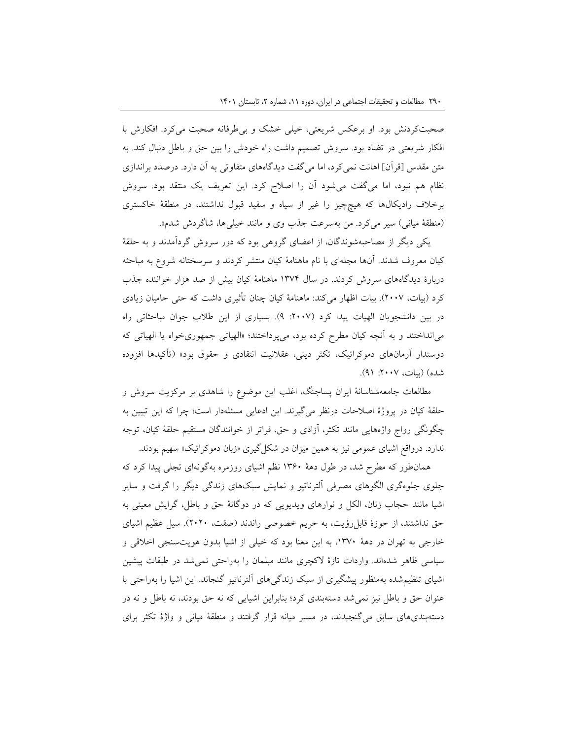صحبتکردنش بود. او برعکس شریعتی، خیلی خشک و بیطرفانه صحبت میکرد. افکارش با افکار شریعتی در تضاد بود. سروش تصمیم داشت راه خودش را بین حق و باطل دنبال کند. به متن مقدس ]قرآن[ اهانت نمیکرد، اما میگفت دیدگاههای متفاوتی به آن دارد. درصدد براندازی نظام هم نبود، اما میگفت میشود آن را اصالح کرد. این تعریف یک منتقد بود. سروش برخالف رادیکالها که هیچچیز را غیر از سیاه و سفید قبول نداشتند، در منطقۀ خاکستری (منطقۀ میانی) سیر میکرد. من بهسرعت جذب وی و مانند خیلی ها، شاگردش شدم».

یکی دیگر از مصاحبهشوندگان، از اعضای گروهی بود که دور سروش گردآمدند و به حلقۀ کیان معروف شدند. آنها مجلهای با نام ماهنامۀ کیان منتشر کردند و سرسختانه شروع به مباحثه دربارۀ دیدگاههای سروش کردند. در سال 13۷4 ماهنامۀ کیان بیش از صد هزار خواننده جذب کرد )بیات، 200۷(. بیات اظهار میکند: ماهنامۀ کیان چنان تأثیری داشت که حتی حامیان زیادی در بین دانشجویان الهیات پیدا کرد (۲۰۰۷: ۹). بسیاری از این طلاب جوان مباحثاتی راه میانداختند و به آنچه کیان مطرح کرده بود، میپرداختند؛ »الهیاتی جمهوریخواه یا الهیاتی که دوستدار آرمانهای دموکراتیک، تکثر دینی، عقالنیت انتقادی و حقوق بود« )تأکیدها افزوده شده) (بیات، ۲۰۰۷: ۹۱).

مطالعات جامعهشناسانۀ ایران پساجنگ، اغلب این موضوع را شاهدی بر مرکزیت سروش و حلقۀ کیان در پروژۀ اصالحات درنظر میگیرند. این ادعایی مسئلهدار است؛ چرا که این تبیین به چگونگی رواج واژههایی مانند تکثر، آزادی و حق، فراتر از خوانندگان مستقیم حلقۀ کیان، توجه ندارد. درواقع اشیای عمومی نیز به همین میزان در شکلگیری »زبان دموکراتیک« سهیم بودند.

همانطور که مطرح شد، در طول دهۀ 13۶0 نظم اشیای روزمره بهگونهای تجلی پیدا کرد که جلوی جلوهگری الگوهای مصرفی آلترناتیو و نمایش سبکهای زندگی دیگر را گرفت و سایر اشیا مانند حجاب زنان، الکل و نوارهای ویدیویی که در دوگانۀ حق و باطل، گرایش معینی به حق نداشتند، از حوزۀ قابل رؤیت، به حریم خصوصی راندند (صفت، ٢٠٢٠). سیل عظیم اشیای خارجی به تهران در دهۀ ،13۷0 به این معنا بود که خیلی از اشیا بدون هویتسنجی اخالقی و سیاسی ظاهر شدهاند. واردات تازۀ الکچری مانند مبلمان را بهراحتی نمیشد در طبقات پیشین اشیای تنظیمشده بهمنظور پیشگیری از سبک زندگیهای آلترناتیو گنجاند. این اشیا را بهراحتی با عنوان حق و باطل نیز نمیشد دستهبندی کرد؛ بنابراین اشیایی که نه حق بودند، نه باطل و نه در دستهبندیهای سابق میگنجیدند، در مسیر میانه قرار گرفتند و منطقۀ میانی و واژۀ تکثر برای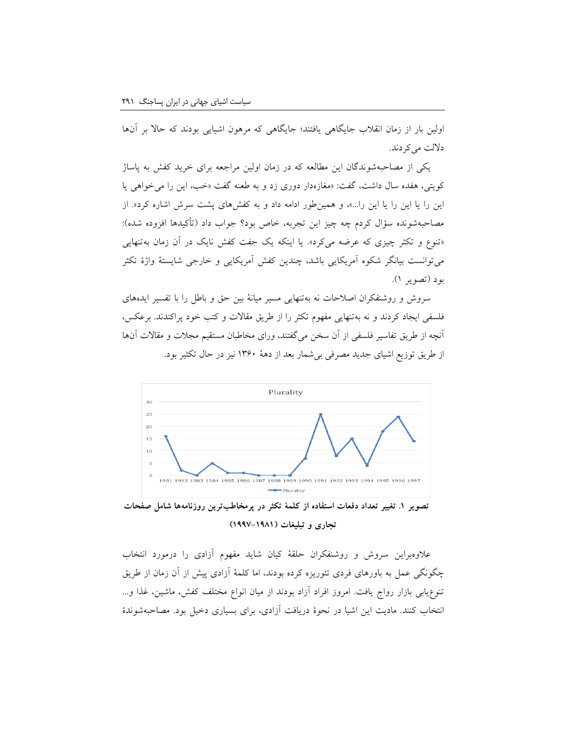اولین بار از زمان انقالب جایگاهی یافتند؛ جایگاهی که مرهون اشیایی بودند که حاال بر آنها دلالت می کردند.

یکی از مصاحبهشوندگان این مطالعه که در زمان اولین مراجعه برای خرید کفش به پاساژ کویتی، هفده سال داشت، گفت: »مغازهدار دوری زد و به طعنه گفت »خب، این را میخواهی یا این را یا این را یا این را...«، و همینطور ادامه داد و به کفشهای پشت سرش اشاره کرد«. از مصاحبهشونده سؤال کردم چه چیز این تجربه، خاص بود؟ جواب داد (تأکیدها افزوده شده): »تنوع و تکثر چیزی که عرضه میکرد«. یا اینکه یک جفت کفش نایک در آن زمان بهتنهایی میتوانست بیانگر شکوه آمریکایی باشد، چندین کفش آمریکایی و خارجی شایستۀ واژۀ تکثر بود )تصویر 1(.

سروش و روشنفکران اصالحات نه بهتنهایی مسیر میانۀ بین حق و باطل را با تفسیر ایدههای فلسفی ایجاد کردند و نه بهتنهایی مفهوم تکثر را از طریق مقاالت و کتب خود پراکندند. برعکس، آنچه از طریق تفاسیر فلسفی از آن سخن میگفتند، ورای مخاطبان مستقیم مجالت و مقاالت آنها از طریق توزیع اشیای جدید مصرفی بیشمار بعد از دهۀ 13۶0 نیز در حال تکثیر بود.



**تصویر .۱ تغییر تعداد دفعات استفاده از کلمۀ تکثر در پرمخاطبترین روزنامهها شامل صفحات تجاری و تبلیغات )۱۹۹۷-۱۹۸۱(**

عالوهبراین سروش و روشنفکران حلقۀ کیان شاید مفهوم آزادی را درمورد انتخاب چگونگی عمل به باورهای فردی تئوریزه کرده بودند، اما کلمۀ آزادی پیش از آن زمان از طریق تنوعیابی بازار رواج یافت. امروز افراد آزاد بودند از میان انواع مختلف کفش، ماشین، غذا و... انتخاب کنند. مادیت این اشیا در نحوۀ دریافت آزادی، برای بسیاری دخیل بود. مصاحبهشوندۀ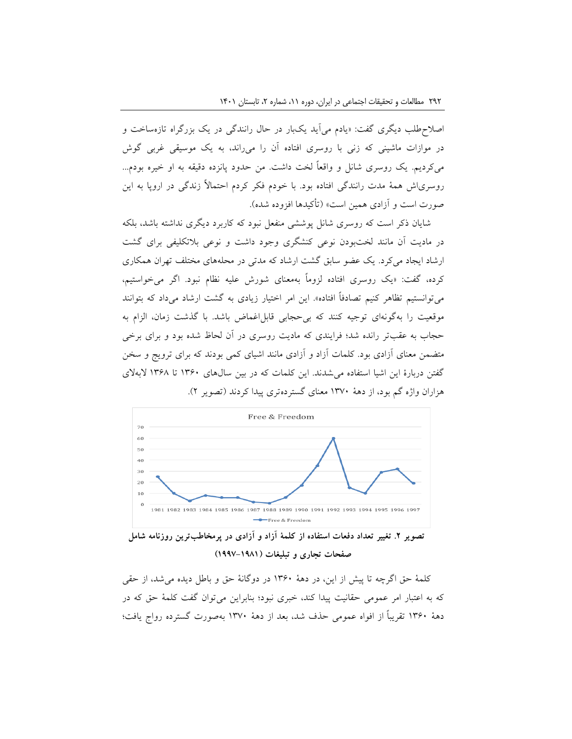اصالحطلب دیگری گفت: »یادم میآید یکبار در حال رانندگی در یک بزرگراه تازهساخت و در موازات ماشینی که زنی با روسری افتاده آن را میراند، به یک موسیقی غربی گوش میکردیم. یک روسری شانل و واقعاً لخت داشت. من حدود پانزده دقیقه به او خیره بودم... روسریاش همۀ مدت رانندگی افتاده بود. با خودم فکر کردم احتماالً زندگی در اروپا به این صورت است و آزادی همین است« )تأکیدها افزوده شده(.

شایان ذکر است که روسری شانل پوششی منفعل نبود که کاربرد دیگری نداشته باشد، بلکه در مادیت آن مانند لختبودن نوعی کنشگری وجود داشت و نوعی بالتکلیفی برای گشت ارشاد ایجاد میکرد. یک عضو سابق گشت ارشاد که مدتی در محلههای مختلف تهران همکاری کرده، گفت: »یک روسری افتاده لزوماً بهمعنای شورش علیه نظام نبود. اگر میخواستیم، میتوانستیم تظاهر کنیم تصادفاً افتاده». این امر اختیار زیادی به گشت ارشاد میداد که بتوانند موقعیت را بهگونهای توجیه کنند که بی حجابی قابل اغماض باشد. با گذشت زمان، الزام به حجاب به عقبتر رانده شد؛ فرایندی که مادیت روسری در آن لحاظ شده بود و برای برخی متضمن معنای آزادی بود. کلمات آزاد و آزادی مانند اشیای کمی بودند که برای ترویج و سخن گفتن دربارۀ این اشیا استفاده میشدند. این کلمات که در بین سالهای 13۶0 تا 13۶۸ البهالی هزاران واژه گم بود، از دهۀ 13۷0 معنای گستردهتری پیدا کردند )تصویر 2(.



**تصویر .۲ تغییر تعداد دفعات استفاده از کلمۀ آزاد و آزادی در پرمخاطبترین روزنامه شامل صفحات تجاری و تبلیغات )۱۹۹۷-۱۹۸۱(**

کلمۀ حق اگرچه تا پیش از این، در دهۀ 13۶0 در دوگانۀ حق و باطل دیده میشد، از حقی که به اعتبار امر عمومی حقانیت پیدا کند، خبری نبود؛ بنابراین میتوان گفت کلمۀ حق که در دهۀ 13۶0 تقریباً از افواه عمومی حذف شد، بعد از دهۀ 13۷0 بهصورت گسترده رواج یافت؛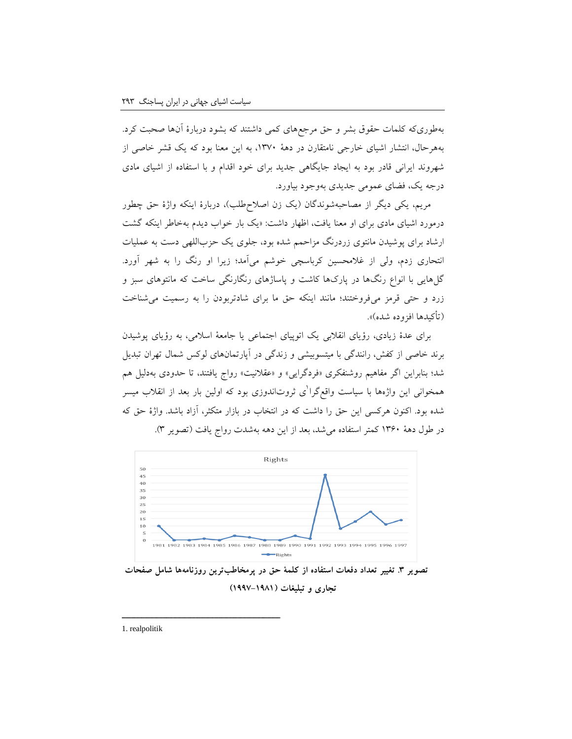بهطوریکه کلمات حقوق بشر و حق مرجعهای کمی داشتند که بشود دربارۀ آنها صحبت کرد. بههرحال، انتشار اشیای خارجی نامتقارن در دهۀ ،13۷0 به این معنا بود که یک قشر خاصی از شهروند ایرانی قادر بود به ایجاد جایگاهی جدید برای خود اقدام و با استفاده از اشیای مادی درجه یک، فضای عمومی جدیدی بهوجود بیاورد.

مریم، یکی دیگر از مصاحبهشوندگان (یک زن اصلاحطلب)، دربارۀ اینکه واژۀ حق چطور درمورد اشیای مادی برای او معنا یافت، اظهار داشت: »یک بار خواب دیدم بهخاطر اینکه گشت ارشاد برای پوشیدن مانتوی زردرنگ مزاحمم شده بود، جلوی یک حزباللهی دست به عملیات انتحاری زدم، ولی از غالمحسین کرباسچی خوشم میآمد؛ زیرا او رنگ را به شهر آورد. گلهایی با انواع رنگها در پارکها کاشت و پاساژهای رنگارنگی ساخت که مانتوهای سبز و زرد و حتی قرمز میفروختند؛ مانند اینکه حق ما برای شادتربودن را به رسمیت میشناخت )تأکیدها افزوده شده(«.

برای عدۀ زیادی، رؤیای انقالبی یک اتوپیای اجتماعی یا جامعۀ اسالمی، به رؤیای پوشیدن برند خاصی از کفش، رانندگی با میتسوبیشی و زندگی در آپارتمانهای لوکس شمال تهران تبدیل شد؛ بنابراین اگر مفاهیم روشنفکری »فردگرایی« و »عقالنیت« رواج یافتند، تا حدودی بهدلیل هم همخوانی این واژهها با سیاست واقعگرا<sup>ا</sup>ی ثروتاندوزی بود که اولین بار بعد از انقلاب میسر شده بود. اکنون هرکسی این حق را داشت که در انتخاب در بازار متکثر، آزاد باشد. واژۀ حق که در طول دهۀ 13۶0 کمتر استفاده میشد، بعد از این دهه بهشدت رواج یافت )تصویر 3(.



**تصویر .۳ تغییر تعداد دفعات استفاده از کلمۀ حق در پرمخاطبترین روزنامهها شامل صفحات تجاری و تبلیغات )۱۹۹۷-۱۹۸۱(**

1. realpolitik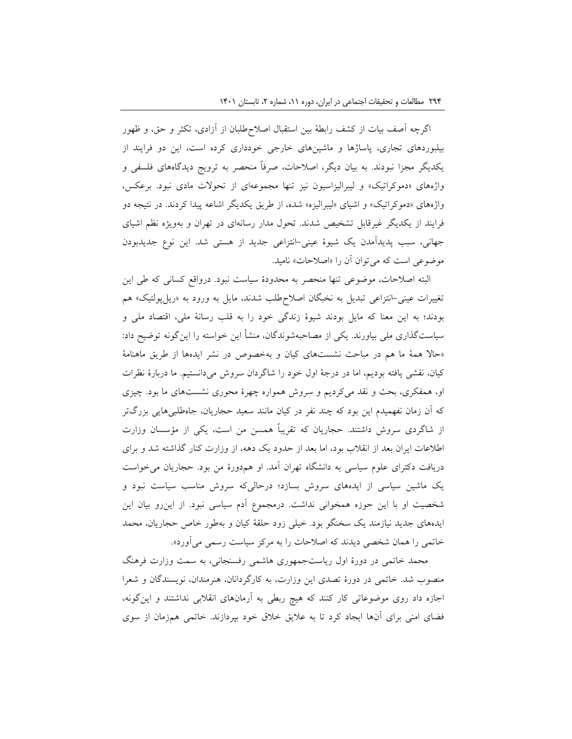اگرچه آصف بیات از کشف رابطۀ بین استقبال اصالحطلبان از آزادی، تکثر و حق، و ظهور بیلبوردهای تجاری، پاساژها و ماشینهای خارجی خودداری کرده است، این دو فرایند از یکدیگر مجزا نبودند. به بیان دیگر، اصالحات، صرفاً منحصر به ترویج دیدگاههای فلسفی و واژههای »دموکراتیک« و لیبرالیزاسیون نیز تنها مجموعهای از تحوالت مادی نبود. برعکس، واژههای «دموکراتیک» و اشیای «لیبرالیزه» شده، از طریق یکدیگر اشاعه پیدا کردند. در نتیجه دو فرایند از یکدیگر غیرقابل تشخیص شدند. تحول مدار رسانهای در تهران و بهویژه نظم اشیای جهانی، سبب پدیدآمدن یک شیوۀ عینی-انتزاعی جدید از هستی شد. این نوع جدیدبودن موضوعی است که میتوان آن را »اصالحات« نامید.

البته اصالحات، موضوعی تنها منحصر به محدودۀ سیاست نبود. درواقع کسانی که طی این تغییرات عینی-انتزاعی تبدیل به نخبگان اصالحطلب شدند، مایل به ورود به »ریلپولتیک« هم بودند؛ به این معنا که مایل بودند شیوۀ زندگی خود را به قلب رسانۀ ملی، اقتصاد ملی و سیاستگذاری ملی بیاورند. یکی از مصاحبهشوندگان، منشأ این خواسته را اینگونه توضیح داد: »حاال همۀ ما هم در مباحث نشستهای کیان و بهخصوص در نشر ایدهها از طریق ماهنامۀ کیان، نقشی یافته بودیم، اما در درجۀ اول خود را شاگردان سروش میدانستیم. ما دربارۀ نظرات او، همفکری، بحث و نقد میکردیم و سروش همواره چهرۀ محوری نشستهای ما بود. چیزی که آن زمان نفهمیدم این بود که چند نفر در کیان مانند سعید حجاریان، جاهطلبیهایی بزرگتر از شاگردی سروش داشتند. حجاریان که تقریباً همسن من است، یکی از مؤسسان وزارت اطالعات ایران بعد از انقالب بود، اما بعد از حدود یک دهه، از وزارت کنار گذاشته شد و برای دریافت دکترای علوم سیاسی به دانشگاه تهران آمد. او همدورۀ من بود. حجاریان میخواست یک ماشین سیاسی از ایدههای سروش بسازد؛ درحالیکه سروش مناسب سیاست نبود و شخصیت او با این حوزه همخوانی نداشت. درمجموع آدم سیاسی نبود. از اینرو بیان این ایدههای جدید نیازمند یک سخنگو بود. خیلی زود حلقۀ کیان و بهطور خاص حجاریان، محمد خاتمی را همان شخصی دیدند که اصالحات را به مرکز سیاست رسمی میآورد«.

محمد خاتمی در دورۀ اول ریاستجمهوری هاشمی رفسنجانی، به سمت وزارت فرهنگ منصوب شد. خاتمی در دورۀ تصدی این وزارت، به کارگردانان، هنرمندان، نویسندگان و شعرا اجازه داد روی موضوعاتی کار کنند که هیچ ربطی به آرمانهای انقالبی نداشتند و اینگونه، فضای امنی برای آنها ایجاد کرد تا به عالیق خالق خود بپردازند. خاتمی همزمان از سوی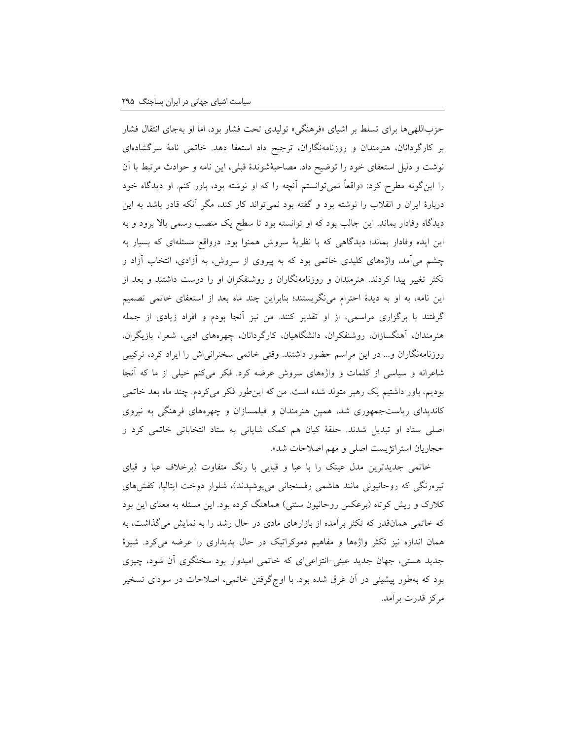حزباللهیها برای تسلط بر اشیای »فرهنگی« تولیدی تحت فشار بود، اما او بهجای انتقال فشار بر کارگردانان، هنرمندان و روزنامهنگاران، ترجیح داد استعفا دهد. خاتمی نامۀ سرگشادهای نوشت و دلیل استعفای خود را توضیح داد. مصاحبۀشوندۀ قبلی، این نامه و حوادث مرتبط با آن را اینگونه مطرح کرد: »واقعاً نمیتوانستم آنچه را که او نوشته بود، باور کنم. او دیدگاه خود دربارۀ ایران و انقالب را نوشته بود و گفته بود نمیتواند کار کند، مگر آنکه قادر باشد به این دیدگاه وفادار بماند. این جالب بود که او توانسته بود تا سطح یک منصب رسمی باال برود و به این ایده وفادار بماند؛ دیدگاهی که با نظریۀ سروش همنوا بود. درواقع مسئلهای که بسیار به چشم میآمد، واژههای کلیدی خاتمی بود که به پیروی از سروش، به آزادی، انتخاب آزاد و تکثر تغییر پیدا کردند. هنرمندان و روزنامهنگاران و روشنفکران او را دوست داشتند و بعد از این نامه، به او به دیدۀ احترام مینگریستند؛ بنابراین چند ماه بعد از استعفای خاتمی تصمیم گرفتند با برگزاری مراسمی، از او تقدیر کنند. من نیز آنجا بودم و افراد زیادی از جمله هنرمندان، آهنگسازان، روشنفکران، دانشگاهیان، کارگردانان، چهرههای ادبی، شعرا، بازیگران، روزنامهنگاران و... در این مراسم حضور داشتند. وقتی خاتمی سخنرانیاش را ایراد کرد، ترکیبی شاعرانه و سیاسی از کلمات و واژههای سروش عرضه کرد. فکر میکنم خیلی از ما که آنجا بودیم، باور داشتیم یک رهبر متولد شده است. من که اینطور فکر میکردم. چند ماه بعد خاتمی کاندیدای ریاستجمهوری شد، همین هنرمندان و فیلمسازان و چهرههای فرهنگی به نیروی اصلی ستاد او تبدیل شدند. حلقۀ کیان هم کمک شایانی به ستاد انتخاباتی خاتمی کرد و حجاریان استراتژیست اصلی و مهم اصالحات شد«.

خاتمی جدیدترین مدل عینک را با عبا و قبایی با رنگ متفاوت )برخالف عبا و قبای تیرهرنگی که روحانیونی مانند هاشمی رفسنجانی میپوشیدند)، شلوار دوخت ایتالیا، کفشهای کالرک و ریش کوتاه )برعکس روحانیون سنتی( هماهنگ کرده بود. این مسئله به معنای این بود که خاتمی همانقدر که تکثر برآمده از بازارهای مادی در حال رشد را به نمایش میگذاشت، به همان اندازه نیز تکثر واژهها و مفاهیم دموکراتیک در حال پدیداری را عرضه میکرد. شیوۀ جدید هستی، جهان جدید عینی-انتزاعیای که خاتمی امیدوار بود سخنگوی آن شود، چیزی بود که بهطور پیشینی در آن غرق شده بود. با اوجگرفتن خاتمی، اصالحات در سودای تسخیر مرکز قدرت برآمد.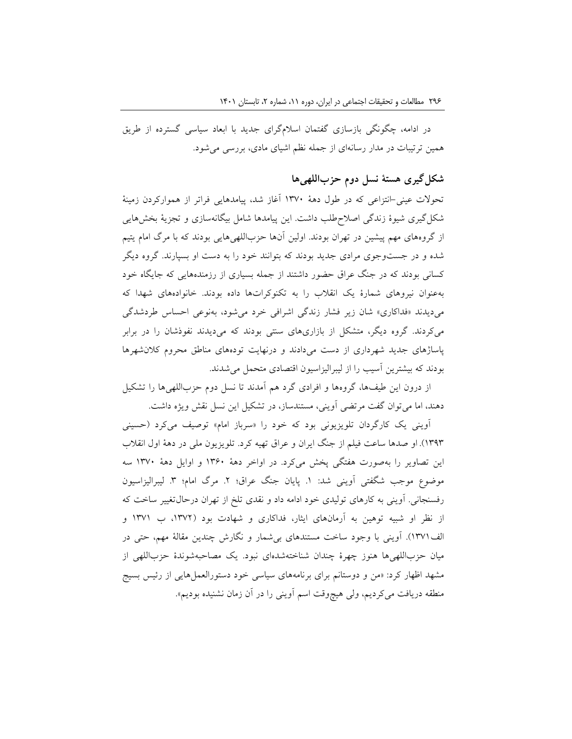در ادامه، چگونگی بازسازی گفتمان اسالمگرای جدید با ابعاد سیاسی گسترده از طریق همین ترتیبات در مدار رسانهای از جمله نظم اشیای مادی، بررسی میشود.

# **شکلگیری هستۀ نسل دوم حزباللهیها**

تحوالت عینی-انتزاعی که در طول دهۀ 13۷0 آغاز شد، پیامدهایی فراتر از هموارکردن زمینۀ شکلگیری شیوۀ زندگی اصالحطلب داشت. این پیامدها شامل بیگانهسازی و تجزیۀ بخشهایی از گروههای مهم پیشین در تهران بودند. اولین آنها حزباللهیهایی بودند که با مرگ امام یتیم شده و در جستوجوی مرادی جدید بودند که بتوانند خود را به دست او بسپارند. گروه دیگر کسانی بودند که در جنگ عراق حضور داشتند از جمله بسیاری از رزمندههایی که جایگاه خود بهعنوان نیروهای شمارۀ یک انقالب را به تکنوکراتها داده بودند. خانوادههای شهدا که میدیدند »فداکاری« شان زیر فشار زندگی اشرافی خرد میشود، بهنوعی احساس طردشدگی میکردند. گروه دیگر، متشکل از بازاریهای سنتی بودند که میدیدند نفوذشان را در برابر پاساژهای جدید شهرداری از دست میدادند و درنهایت تودههای مناطق محروم کالنشهرها بودند که بیشترین آسیب را از لیبرالیزاسیون اقتصادی متحمل میشدند.

از درون این طیفها، گروهها و افرادی گرد هم آمدند تا نسل دوم حزباللهیها را تشکیل دهند، اما میتوان گفت مرتضی آوینی، مستندساز، در تشکیل این نسل نقش ویژه داشت.

آوینی یک کارگردان تلویزیونی بود که خود را »سرباز امام« توصیف میکرد )حسینی 13۹3(. او صدها ساعت فیلم از جنگ ایران و عراق تهیه کرد. تلویزیون ملی در دهۀ اول انقالب این تصاویر را بهصورت هفتگی پخش میکرد. در اواخر دهۀ 13۶0 و اوایل دهۀ 13۷0 سه موضوع موجب شگفتی آوینی شد: ١. پایان جنگ عراق؛ ٢. مرگ امام؛ ٣. لیبرالیزاسیون رفسنجانی. آوینی به کارهای تولیدی خود ادامه داد و نقدی تلخ از تهران درحالتغییر ساخت که از نظر او شبیه توهین به آرمانهای ایثار، فداکاری و شهادت بود )،13۷2 ب 13۷1 و الف13۷1(. آوینی با وجود ساخت مستندهای بیشمار و نگارش چندین مقالۀ مهم، حتی در میان حزباللهیها هنوز چهرۀ چندان شناختهشدهای نبود. یک مصاحبهشوندۀ حزباللهی از مشهد اظهار کرد: »من و دوستانم برای برنامههای سیاسی خود دستورالعملهایی از رئیس بسیج منطقه دریافت میکردیم، ولی هیچوقت اسم آوینی را در آن زمان نشنیده بودیم».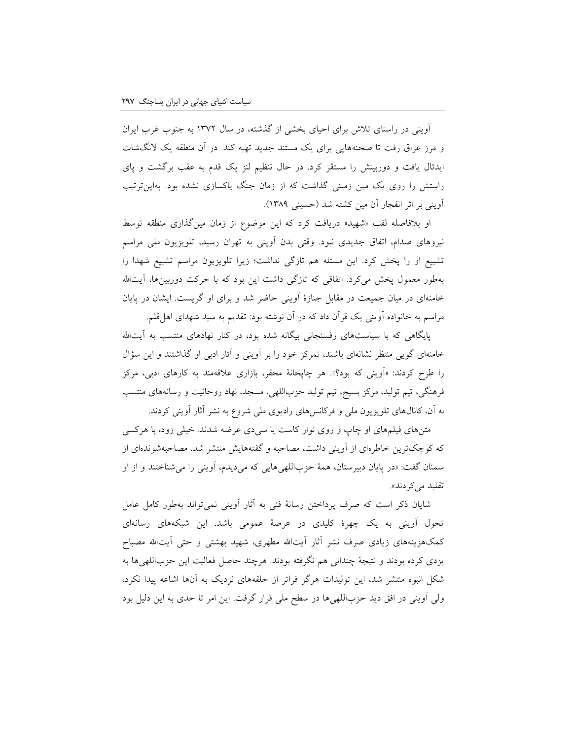آوینی در راستای تالش برای احیای بخشی از گذشته، در سال 13۷2 به جنوب غرب ایران و مرز عراق رفت تا صحنههایی برای یک مستند جدید تهیه کند. در آن منطقه یک النگشات ایدئال یافت و دوربینش را مستقر کرد. در حال تنظیم لنز یک قدم به عقب برگشت و پای راستش را روی یک مین زمینی گذاشت که از زمان جنگ پاکسازی نشده بود. بهاینترتیب آوینی بر اثر انفجار آن مین کشته شد )حسینی 13۸۹(.

او بلافاصله لقب «شهید» دریافت کرد که این موضوع از زمان مینگذاری منطقه توسط نیروهای صدام، اتفاق جدیدی نبود. وقتی بدن آوینی به تهران رسید، تلویزیون ملی مراسم تشییع او را پخش کرد. این مسئله هم تازگی نداشت؛ زیرا تلویزیون مراسم تشییع شهدا را بهطور معمول پخش میکرد. اتفاقی که تازگی داشت این بود که با حرکت دوربینها، آیتالله خامنهای در میان جمیعت در مقابل جنازۀ آوینی حاضر شد و برای او گریست. ایشان در پایان مراسم به خانواده آوینی یک قرآن داد که در آن نوشته بود: تقدیم به سید شهدای اهلقلم.

پایگاهی که با سیاستهای رفسنجانی بیگانه شده بود، در کنار نهادهای منتسب به آیتالله خامنهای گویی منتظر نشانهای باشند، تمرکز خود را بر آوینی و آثار ادبی او گذاشتند و این سؤال را طرح کردند: »آوینی که بود؟«. هر چاپخانۀ محقر، بازاری عالقهمند به کارهای ادبی، مرکز فرهنگی، تیم تولید، مرکز بسیج، تیم تولید حزباللهی، مسجد، نهاد روحانیت و رسانههای منتسب به آن، کانالهای تلویزیون ملی و فرکانسهای رادیوی ملی شروع به نشر آثار آوینی کردند.

متنهای فیلمهای او چاپ و روی نوار کاست یا سیدی عرضه شدند. خیلی زود، با هرکسی که کوچکترین خاطرهای از آوینی داشت، مصاحبه و گفتههایش منتشر شد. مصاحبهشوندهای از سمنان گفت: »در پایان دبیرستان، همۀ حزباللهیهایی که میدیدم، آوینی را میشناختند و از او تقلید می کردند».

شایان ذکر است که صرف پرداختن رسانۀ فنی به آثار آوینی نمیتواند بهطور کامل عامل تحول آوینی به یک چهرۀ کلیدی در عرصۀ عمومی باشد. این شبکههای رسانهای کمکهزینههای زیادی صرف نشر آثار آیتالله مطهری، شهید بهشتی و حتی آیتالله مصباح یزدی کرده بودند و نتیجۀ چندانی هم نگرفته بودند. هرچند حاصل فعالیت این حزباللهیها به شکل انبوه منتشر شد، این تولیدات هرگز فراتر از حلقههای نزدیک به آنها اشاعه پیدا نکرد، ولی آوینی در افق دید حزباللهیها در سطح ملی قرار گرفت. این امر تا حدی به این دلیل بود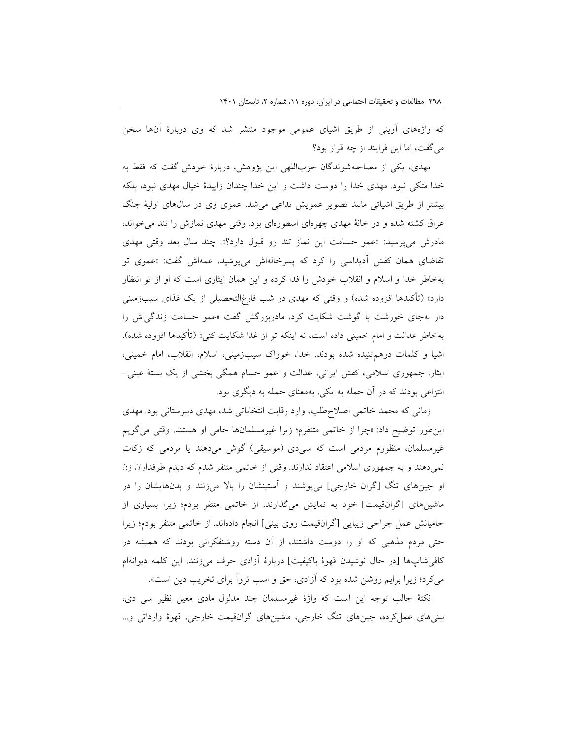که واژههای آوینی از طریق اشیای عمومی موجود منتشر شد که وی دربارۀ آنها سخن میگفت، اما این فرایند از چه قرار بود؟

مهدی، یکی از مصاحبهشوندگان حزباللهی این پژوهش، دربارۀ خودش گفت که فقط به خدا متکی نبود. مهدی خدا را دوست داشت و این خدا چندان زاییدۀ خیال مهدی نبود، بلکه بیشتر از طریق اشیائی مانند تصویر عمویش تداعی میشد. عموی وی در سالهای اولیۀ جنگ عراق کشته شده و در خانۀ مهدی چهرهای اسطورهای بود. وقتی مهدی نمازش را تند میخواند، مادرش میپرسید: »عمو حسامت این نماز تند رو قبول دارد؟«. چند سال بعد وقتی مهدی تقاضای همان کفش آدیداسی را کرد که پسرخالهاش میپوشید، عمهاش گفت: »عموی تو بهخاطر خدا و اسالم و انقالب خودش را فدا کرده و این همان ایثاری است که او از تو انتظار دارد» (تأکیدها افزوده شده) و وقتی که مهدی در شب فارغ|لتحصیلی از یک غذای سیبزمینی دار بهجای خورشت با گوشت شکایت کرد، مادربزرگش گفت »عمو حسامت زندگیاش را بهخاطر عدالت و امام خمینی داده است، نه اینکه تو از غذا شکایت کنی» (تأکیدها افزوده شده). اشیا و کلمات درهمتنیده شده بودند. خدا، خوراک سیبزمینی، اسالم، انقالب، امام خمینی، ایثار، جمهوری اسالمی، کفش ایرانی، عدالت و عمو حسام همگی بخشی از یک بستۀ عینی- انتزاعی بودند که در آن حمله به یکی، بهمعنای حمله به دیگری بود.

زمانی که محمد خاتمی اصالحطلب، وارد رقابت انتخاباتی شد، مهدی دبیرستانی بود. مهدی اینطور توضیح داد: »چرا از خاتمی متنفرم؛ زیرا غیرمسلمانها حامی او هستند. وقتی میگویم غیرمسلمان، منظورم مردمی است که سیدی (موسیقی) گوش میدهند یا مردمی که زکات نمیدهند و به جمهوری اسالمی اعتقاد ندارند. وقتی از خاتمی متنفر شدم که دیدم طرفداران زن او جینهای تنگ ]گران خارجی[ میپوشند و آستینشان را باال میزنند و بدنهایشان را در ماشینهای ]گرانقیمت[ خود به نمایش میگذارند. از خاتمی متنفر بودم؛ زیرا بسیاری از حامیانش عمل جراحی زیبایی ]گرانقیمت روی بینی[ انجام دادهاند. از خاتمی متنفر بودم؛ زیرا حتی مردم مذهبی که او را دوست داشتند، از آن دسته روشنفکرانی بودند که همیشه در کافیشاپها ]در حال نوشیدن قهوۀ باکیفیت[ دربارۀ آزادی حرف میزنند. این کلمه دیوانهام میکرد؛ زیرا برایم روشن شده بود که آزادی، حق و اسب تروآ برای تخریب دین است«.

نکتۀ جالب توجه این است که واژۀ غیرمسلمان چند مدلول مادی معین نظیر سی دی، بینیهای عملکرده، جینهای تنگ خارجی، ماشینهای گرانقیمت خارجی، قهوۀ وارداتی و...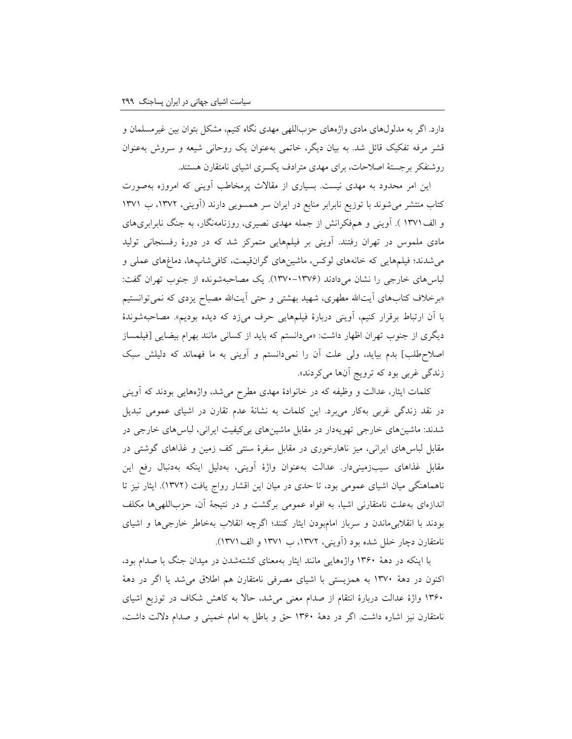دارد. اگر به مدلولهای مادی واژههای حزباللهی مهدی نگاه کنیم، مشکل بتوان بین غیرمسلمان و قشر مرفه تفکیک قائل شد. به بیان دیگر، خاتمی بهعنوان یک روحانی شیعه و سروش بهعنوان روشنفکر برجستۀ اصالحات، برای مهدی مترادف یکسری اشیای نامتقارن هستند.

این امر محدود به مهدی نیست. بسیاری از مقاالت پرمخاطب آوینی که امروزه بهصورت کتاب منتشر میشوند با توزیع نابرابر منابع در ایران سر همسویی دارند )آوینی، ،13۷2 ب 13۷1 و الف13۷1 (. آوینی و همفکرانش از جمله مهدی نصیری، روزنامهنگار، به جنگ نابرابریهای مادی ملموس در تهران رفتند. آوینی بر فیلمهایی متمرکز شد که در دورۀ رفسنجانی تولید میشدند؛ فیلمهایی که خانههای لوکس، ماشینهای گرانقیمت، کافیشاپها، دماغهای عملی و لباسهای خارجی را نشان میدادند )13۷0-13۷۶(. یک مصاحبهشونده از جنوب تهران گفت: «برخلاف کتابهای آیتالله مطهری، شهید بهشتی و حتی آیتالله مصباح یزدی که نمیتوانستیم با آن ارتباط برقرار کنیم، آوینی دربارۀ فیلمهایی حرف میزد که دیده بودیم«. مصاحبهشوندۀ دیگری از جنوب تهران اظهار داشت: »میدانستم که باید از کسانی مانند بهرام بیضایی ]فیلمساز اصالحطلب[ بدم بیاید، ولی علت آن را نمیدانستم و آوینی به ما فهماند که دلیلش سبک زندگی غربی بود که ترویج آنها میکردند«.

کلمات ایثار، عدالت و وظیفه که در خانوادۀ مهدی مطرح میشد، واژههایی بودند که آوینی در نقد زندگی غربی بهکار میبرد. این کلمات به نشانۀ عدم تقارن در اشیای عمومی تبدیل شدند: ماشینهای خارجی تهویهدار در مقابل ماشینهای بیکیفیت ایرانی، لباسهای خارجی در مقابل لباسهای ایرانی، میز ناهارخوری در مقابل سفرۀ سنتی کف زمین و غذاهای گوشتی در مقابل غذاهای سیبزمینیدار. عدالت بهعنوان واژۀ آوینی، بهدلیل اینکه بهدنبال رفع این ناهماهنگی میان اشیای عمومی بود، تا حدی در میان این اقشار رواج یافت )13۷2(. ایثار نیز تا اندازهای بهعلت نامتقارنی اشیا، به افواه عمومی برگشت و در نتیجۀ آن، حزباللهیها مکلف بودند با انقالبیماندن و سرباز امامبودن ایثار کنند؛ اگرچه انقالب بهخاطر خارجیها و اشیای نامتقارن دچار خلل شده بود )آوینی، ،13۷2 ب 13۷1 و الف13۷1(.

با اینکه در دهۀ 13۶0 واژههایی مانند ایثار بهمعنای کشتهشدن در میدان جنگ با صدام بود، اکنون در دهۀ 13۷0 به همزیستی با اشیای مصرفی نامتقارن هم اطالق میشد یا اگر در دهۀ 13۶0 واژۀ عدالت دربارۀ انتقام از صدام معنی میشد، حاال به کاهش شکاف در توزیع اشیای نامتقارن نیز اشاره داشت. اگر در دهۀ 13۶0 حق و باطل به امام خمینی و صدام داللت داشت،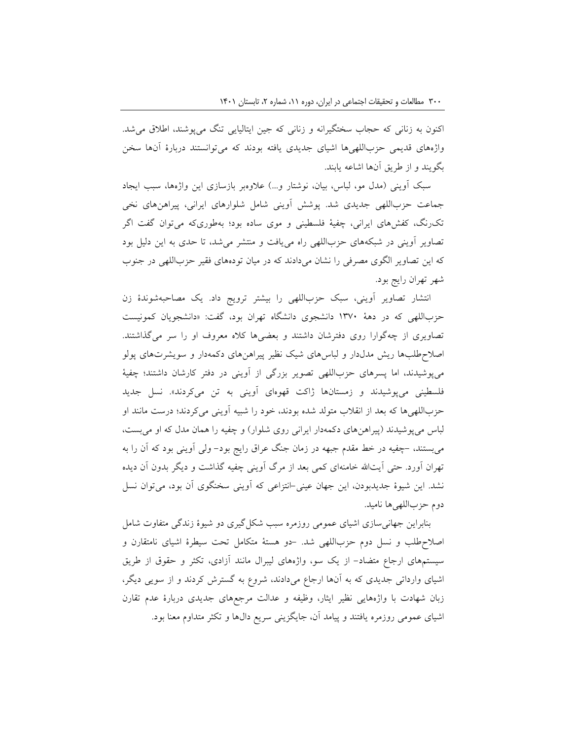اکنون به زنانی که حجاب سختگیرانه و زنانی که جین ایتالیایی تنگ میپوشند، اطالق میشد. واژههای قدیمی حزباللهیها اشیای جدیدی یافته بودند که میتوانستند دربارۀ آنها سخن بگویند و از طریق آنها اشاعه یابند.

سبک آوینی (مدل مو، لباس، بیان، نوشتار و...) علاوهبر بازسازی این واژهها، سبب ایجاد جماعت حزباللهی جدیدی شد. پوشش آوینی شامل شلوارهای ایرانی، پیراهنهای نخی تکرنگ، کفشهای ایرانی، چفیۀ فلسطینی و موی ساده بود؛ بهطوریکه میتوان گفت اگر تصاویر آوینی در شبکههای حزباللهی راه مییافت و منتشر میشد، تا حدی به این دلیل بود که این تصاویر الگوی مصرفی را نشان میدادند که در میان تودههای فقیر حزباللهی در جنوب شهر تهران رایج بود.

انتشار تصاویر آوینی، سبک حزباللهی را بیشتر ترویج داد. یک مصاحبهشوندۀ زن حزباللهی که در دهۀ 13۷0 دانشجوی دانشگاه تهران بود، گفت: »دانشجویان کمونیست تصاویری از چهگوارا روی دفترشان داشتند و بعضیها کاله معروف او را سر میگذاشتند. اصالحطلبها ریش مدلدار و لباسهای شیک نظیر پیراهنهای دکمهدار و سویشرتهای پولو میپوشیدند، اما پسرهای حزباللهی تصویر بزرگی از آوینی در دفتر کارشان داشتند؛ چفیۀ فلسطینی میپوشیدند و زمستانها ژاکت قهوهای آوینی به تن میکردند». نسل جدید حزباللهیها که بعد از انقالب متولد شده بودند، خود را شبیه آوینی میکردند؛ درست مانند او لباس میپوشیدند )پیراهنهای دکمهدار ایرانی روی شلوار( و چفیه را همان مدل که او میبست، میبستند، -چفیه در خط مقدم جبهه در زمان جنگ عراق رایج بود- ولی آوینی بود که آن را به تهران آورد. حتی آیتالله خامنهای کمی بعد از مرگ آوینی چفیه گذاشت و دیگر بدون آن دیده نشد. این شیوۀ جدیدبودن، این جهان عینی-انتزاعی که آوینی سخنگوی آن بود، میتوان نسل دوم حزباللهی ها نامید.

بنابراین جهانیسازی اشیای عمومی روزمره سبب شکلگیری دو شیوۀ زندگی متفاوت شامل اصالحطلب و نسل دوم حزباللهی شد. -دو هستۀ متکامل تحت سیطرۀ اشیای نامتقارن و سیستمهای ارجاع متضاد- از یک سو، واژههای لیبرال مانند آزادی، تکثر و حقوق از طریق اشیای وارداتی جدیدی که به آنها ارجاع میدادند، شروع به گسترش کردند و از سویی دیگر، زبان شهادت با واژههایی نظیر ایثار، وظیفه و عدالت مرجعهای جدیدی دربارۀ عدم تقارن اشیای عمومی روزمره یافتند و پیامد آن، جایگزینی سریع دالها و تکثر متداوم معنا بود.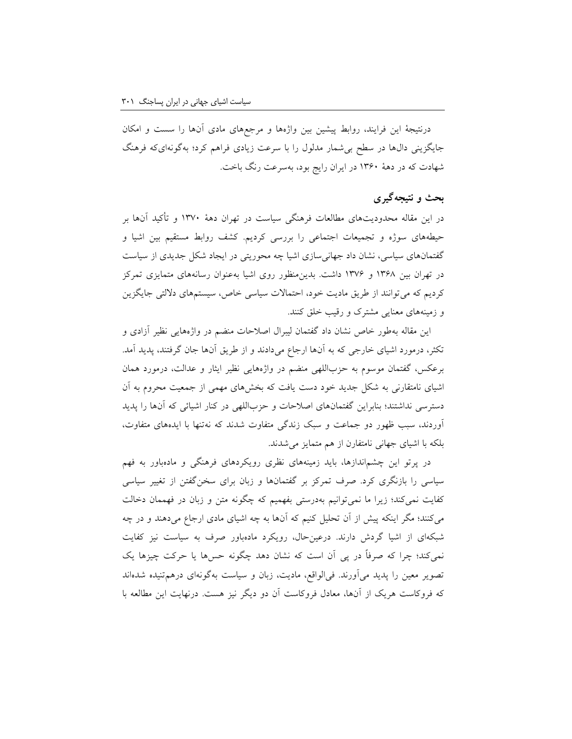درنتیجۀ این فرایند، روابط پیشین بین واژهها و مرجعهای مادی آنها را سست و امکان جایگزینی دالها در سطح بیشمار مدلول را با سرعت زیادی فراهم کرد؛ بهگونهایکه فرهنگ شهادت که در دهۀ 13۶0 در ایران رایج بود، بهسرعت رنگ باخت.

# **بحث و نتیجهگیری**

در این مقاله محدودیتهای مطالعات فرهنگی سیاست در تهران دهۀ 13۷0 و تأکید آنها بر حیطههای سوژه و تجمیعات اجتماعی را بررسی کردیم. کشف روابط مستقیم بین اشیا و گفتمانهای سیاسی، نشان داد جهانیسازی اشیا چه محوریتی در ایجاد شکل جدیدی از سیاست در تهران بین 13۶۸ و 13۷۶ داشت. بدینمنظور روی اشیا بهعنوان رسانههای متمایزی تمرکز کردیم که میتوانند از طریق مادیت خود، احتماالت سیاسی خاص، سیستمهای داللتی جایگزین و زمینههای معنایی مشترک و رقیب خلق کنند.

این مقاله بهطور خاص نشان داد گفتمان لیبرال اصالحات منضم در واژههایی نظیر آزادی و تکثر، درمورد اشیای خارجی که به آنها ارجاع میدادند و از طریق آنها جان گرفتند، پدید آمد. برعکس، گفتمان موسوم به حزباللهی منضم در واژههایی نظیر ایثار و عدالت، درمورد همان اشیای نامتقارنی به شکل جدید خود دست یافت که بخشهای مهمی از جمعیت محروم به آن دسترسی نداشتند؛ بنابراین گفتمانهای اصالحات و حزباللهی در کنار اشیائی که آنها را پدید آوردند، سبب ظهور دو جماعت و سبک زندگی متفاوت شدند که نهتنها با ایدههای متفاوت، بلکه با اشیای جهانی نامتفارن از هم متمایز میشدند.

در پرتو این چشماندازها، باید زمینههای نظری رویکردهای فرهنگی و مادهباور به فهم سیاسی را بازنگری کرد. صرف تمرکز بر گفتمانها و زبان برای سخنگفتن از تغییر سیاسی کفایت نمیکند؛ زیرا ما نمیتوانیم بهدرستی بفهمیم که چگونه متن و زبان در فهممان دخالت میکنند؛ مگر اینکه پیش از آن تحلیل کنیم که آنها به چه اشیای مادی ارجاع میدهند و در چه شبکهای از اشیا گردش دارند. درعینحال، رویکرد مادهباور صرف به سیاست نیز کفایت نمیکند؛ چرا که صرفاً در پی آن است که نشان دهد چگونه حسها یا حرکت چیزها یک تصویر معین را پدید میآورند. فیالواقع، مادیت، زبان و سیاست بهگونهای درهمتنیده شدهاند که فروکاست هریک از آنها، معادل فروکاست آن دو دیگر نیز هست. درنهایت این مطالعه با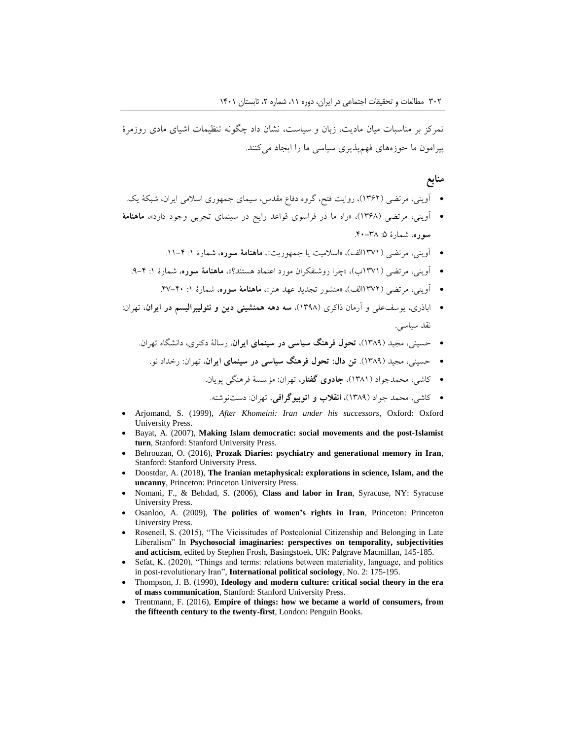تمرکز بر مناسبات میان مادیت، زبان و سیاست، نشان داد چگونه تنظیمات اشیای مادی روزمرۀ پیرامون ما حوزههای فهمپذیری سیاسی ما را ایجاد میکنند.

#### **منابع**

- آوینی، مرتضی )13۶2(، روایت فتح، گروه دفاع مقدس، سیمای جمهوری اسالمی ایران، شبکۀ یک.
- آوینی، مرتضی )13۶۸(، »راه ما در فراسوی قواعد رایج در سینمای تجربی وجود دارد«، **ماهنامۀ سوره،** شمارۀ ۵: ۳۸-۴۰.
	- آوینی، مرتضی (۱۳۷۱الف)، «اسلامت یا جمهوریت»**، ماهنامۀ سوره**، شمارۀ ۱: ۴–۱۱.
	- آوینی، مرتضی )13۷1ب(، »چرا روشنفکران مورد اعتماد هستند؟«، **ماهنامۀ سوره**، شمارۀ :1 .۹-4
		- آوینی، مرتضی )13۷2الف(، »منشور تجدید عهد هنر«، **ماهنامۀ سوره**، شمارۀ :1 .4۷-40
- اباذری، یوسفعلی و آرمان ذاکری )13۹۸(، **سه دهه همنشینی دین و نئولیبرالیسم در ایران**، تهران: نقد سیاسی.
	- حسینی، مجید )13۸۹(، **تحول فرهنگ سیاسی در سینمای ایران**، رسالۀ دکتری، دانشگاه تهران.
	- حسینی، مجید )13۸۹(. **تن دال: تحول فرهنگ سیاسی در سینمای ایران**، تهران: رخداد نو.
		- کاشی، محمدجواد )13۸1(، **جادوی گفتار**، تهران: مؤسسۀ فرهنگی پویان.
		- کاشی، محمد جواد )13۸۹(، **انقالب و اتوبیوگرافی**، تهران: دستنوشته.
- Arjomand, S. (1999), *After Khomeini: Iran under his successors*, Oxford: Oxford University Press.
- Bayat, A. (2007), **Making Islam democratic: social movements and the post-Islamist turn**, Stanford: Stanford University Press.
- Behrouzan, O. (2016), **Prozak Diaries: psychiatry and generational memory in Iran**, Stanford: Stanford University Press.
- Doostdar, A. (2018), **The Iranian metaphysical: explorations in science, Islam, and the uncanny***,* Princeton: Princeton University Press.
- Nomani, F., & Behdad, S. (2006), **Class and labor in Iran**, Syracuse, NY: Syracuse University Press.
- Osanloo, A. (2009), **The politics of women's rights in Iran**, Princeton: Princeton University Press.
- Roseneil, S. (2015), "The Vicissitudes of Postcolonial Citizenship and Belonging in Late Liberalism" In **Psychosocial imaginaries: perspectives on temporality, subjectivities and acticism**, edited by Stephen Frosh, Basingstoek, UK: Palgrave Macmillan, 145-185.
- Sefat, K. (2020), "Things and terms: relations between materiality, language, and politics in post-revolutionary Iran", **International political sociology**, No. 2: 175-195.
- Thompson, J. B. (1990), **Ideology and modern culture: critical social theory in the era of mass communication**, Stanford: Stanford University Press.
- Trentmann, F. (2016), **Empire of things: how we became a world of consumers, from the fifteenth century to the twenty-first**, London: Penguin Books.